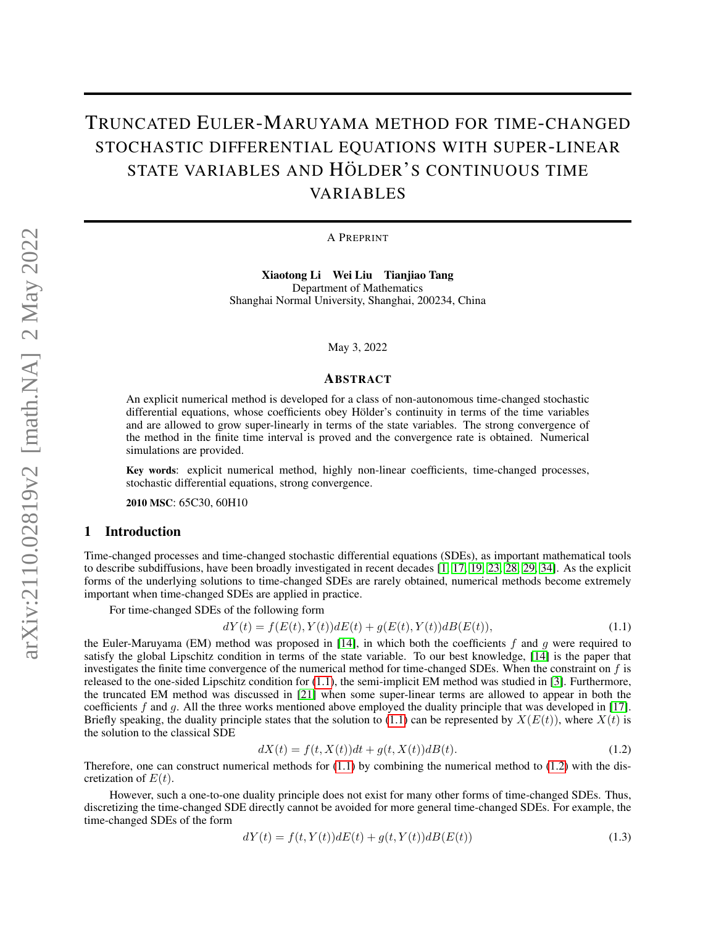# TRUNCATED EULER-MARUYAMA METHOD FOR TIME-CHANGED STOCHASTIC DIFFERENTIAL EQUATIONS WITH SUPER-LINEAR STATE VARIABLES AND HÖLDER'S CONTINUOUS TIME VARIABLES

A PREPRINT

Xiaotong Li Wei Liu Tianjiao Tang Department of Mathematics Shanghai Normal University, Shanghai, 200234, China

May 3, 2022

## ABSTRACT

An explicit numerical method is developed for a class of non-autonomous time-changed stochastic differential equations, whose coefficients obey Hölder's continuity in terms of the time variables and are allowed to grow super-linearly in terms of the state variables. The strong convergence of the method in the finite time interval is proved and the convergence rate is obtained. Numerical simulations are provided.

Key words: explicit numerical method, highly non-linear coefficients, time-changed processes, stochastic differential equations, strong convergence.

2010 MSC: 65C30, 60H10

## 1 Introduction

Time-changed processes and time-changed stochastic differential equations (SDEs), as important mathematical tools to describe subdiffusions, have been broadly investigated in recent decades [\[1,](#page-18-0) [17,](#page-18-1) [19,](#page-18-2) [23,](#page-18-3) [28,](#page-19-0) [29,](#page-19-1) [34\]](#page-19-2). As the explicit forms of the underlying solutions to time-changed SDEs are rarely obtained, numerical methods become extremely important when time-changed SDEs are applied in practice.

For time-changed SDEs of the following form

<span id="page-0-0"></span>
$$
dY(t) = f(E(t), Y(t))dE(t) + g(E(t), Y(t))dE(E(t)),
$$
\n(1.1)

the Euler-Maruyama (EM) method was proposed in [\[14\]](#page-18-4), in which both the coefficients f and q were required to satisfy the global Lipschitz condition in terms of the state variable. To our best knowledge, [\[14\]](#page-18-4) is the paper that investigates the finite time convergence of the numerical method for time-changed SDEs. When the constraint on  $f$  is released to the one-sided Lipschitz condition for [\(1.1\)](#page-0-0), the semi-implicit EM method was studied in [\[3\]](#page-18-5). Furthermore, the truncated EM method was discussed in [\[21\]](#page-18-6) when some super-linear terms are allowed to appear in both the coefficients  $f$  and  $g$ . All the three works mentioned above employed the duality principle that was developed in [\[17\]](#page-18-1). Briefly speaking, the duality principle states that the solution to [\(1.1\)](#page-0-0) can be represented by  $X(E(t))$ , where  $X(t)$  is the solution to the classical SDE

<span id="page-0-1"></span>
$$
dX(t) = f(t, X(t))dt + g(t, X(t))dB(t).
$$
\n(1.2)

Therefore, one can construct numerical methods for  $(1.1)$  by combining the numerical method to  $(1.2)$  with the discretization of  $E(t)$ .

However, such a one-to-one duality principle does not exist for many other forms of time-changed SDEs. Thus, discretizing the time-changed SDE directly cannot be avoided for more general time-changed SDEs. For example, the time-changed SDEs of the form

$$
dY(t) = f(t, Y(t))dE(t) + g(t, Y(t))dB(E(t))
$$
\n(1.3)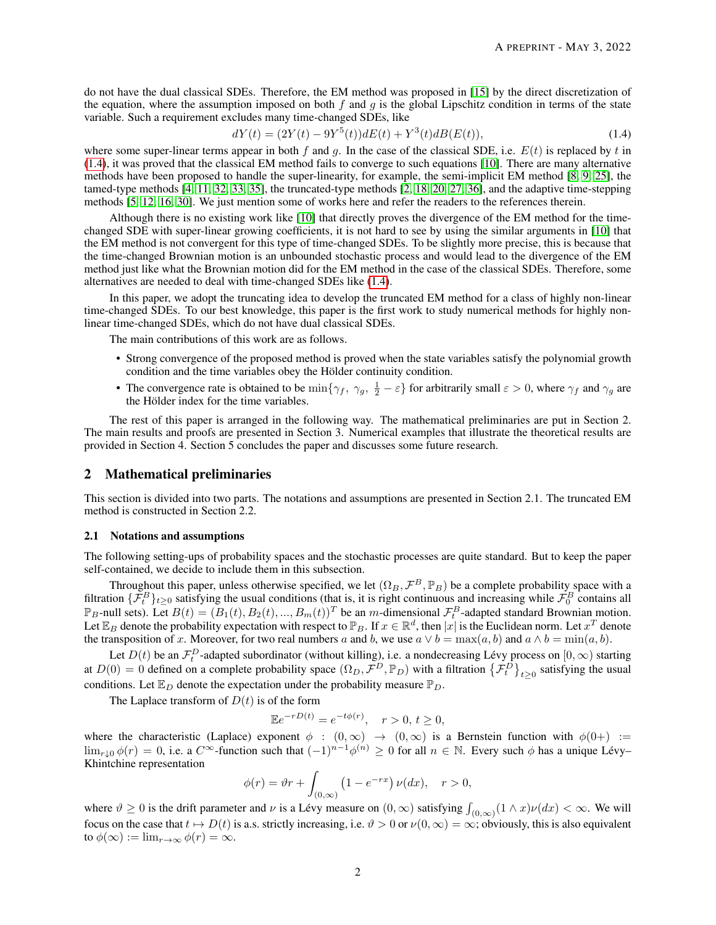do not have the dual classical SDEs. Therefore, the EM method was proposed in [\[15\]](#page-18-7) by the direct discretization of the equation, where the assumption imposed on both f and q is the global Lipschitz condition in terms of the state variable. Such a requirement excludes many time-changed SDEs, like

<span id="page-1-0"></span>
$$
dY(t) = (2Y(t) - 9Y^5(t))dE(t) + Y^3(t)dB(E(t)),
$$
\n(1.4)

where some super-linear terms appear in both f and q. In the case of the classical SDE, i.e.  $E(t)$  is replaced by t in  $(1.4)$ , it was proved that the classical EM method fails to converge to such equations [\[10\]](#page-18-8). There are many alternative methods have been proposed to handle the super-linearity, for example, the semi-implicit EM method [\[8,](#page-18-9) [9,](#page-18-10) [25\]](#page-19-3), the tamed-type methods [\[4,](#page-18-11) [11,](#page-18-12) [32,](#page-19-4) [33,](#page-19-5) [35\]](#page-19-6), the truncated-type methods [\[2,](#page-18-13) [18,](#page-18-14) [20,](#page-18-15) [27,](#page-19-7) [36\]](#page-19-8), and the adaptive time-stepping methods [\[5,](#page-18-16) [12,](#page-18-17) [16,](#page-18-18) [30\]](#page-19-9). We just mention some of works here and refer the readers to the references therein.

Although there is no existing work like [\[10\]](#page-18-8) that directly proves the divergence of the EM method for the timechanged SDE with super-linear growing coefficients, it is not hard to see by using the similar arguments in [\[10\]](#page-18-8) that the EM method is not convergent for this type of time-changed SDEs. To be slightly more precise, this is because that the time-changed Brownian motion is an unbounded stochastic process and would lead to the divergence of the EM method just like what the Brownian motion did for the EM method in the case of the classical SDEs. Therefore, some alternatives are needed to deal with time-changed SDEs like [\(1.4\)](#page-1-0).

In this paper, we adopt the truncating idea to develop the truncated EM method for a class of highly non-linear time-changed SDEs. To our best knowledge, this paper is the first work to study numerical methods for highly nonlinear time-changed SDEs, which do not have dual classical SDEs.

The main contributions of this work are as follows.

- Strong convergence of the proposed method is proved when the state variables satisfy the polynomial growth condition and the time variables obey the Hölder continuity condition.
- The convergence rate is obtained to be  $\min\{\gamma_f, \gamma_g, \frac{1}{2} \varepsilon\}$  for arbitrarily small  $\varepsilon > 0$ , where  $\gamma_f$  and  $\gamma_g$  are the Hölder index for the time variables.

The rest of this paper is arranged in the following way. The mathematical preliminaries are put in Section 2. The main results and proofs are presented in Section 3. Numerical examples that illustrate the theoretical results are provided in Section 4. Section 5 concludes the paper and discusses some future research.

# 2 Mathematical preliminaries

This section is divided into two parts. The notations and assumptions are presented in Section 2.1. The truncated EM method is constructed in Section 2.2.

#### 2.1 Notations and assumptions

The following setting-ups of probability spaces and the stochastic processes are quite standard. But to keep the paper self-contained, we decide to include them in this subsection.

Throughout this paper, unless otherwise specified, we let  $(\Omega_B, \mathcal{F}^B, \mathbb{P}_B)$  be a complete probability space with a filtration  $\{\mathcal{F}^B_t\}_{t\geq 0}$  satisfying the usual conditions (that is, it is right continuous and increasing while  $\mathcal{F}^B_0$  contains all  $\mathbb{P}_B$ -null sets). Let  $B(t) = (B_1(t), B_2(t), ..., B_m(t))^T$  be an m-dimensional  $\mathcal{F}_t^B$ -adapted standard Brownian motion. Let  $\mathbb{E}_B$  denote the probability expectation with respect to  $\mathbb{P}_B$ . If  $x \in \mathbb{R}^d$ , then  $|x|$  is the Euclidean norm. Let  $x^T$  denote the transposition of x. Moreover, for two real numbers a and b, we use  $a \vee b = \max(a, b)$  and  $a \wedge b = \min(a, b)$ .

Let  $D(t)$  be an  $\mathcal{F}_t^D$ -adapted subordinator (without killing), i.e. a nondecreasing Lévy process on  $[0,\infty)$  starting at  $D(0) = 0$  defined on a complete probability space  $(\Omega_D, \mathcal{F}^D, \mathbb{P}_D)$  with a filtration  $\{\mathcal{F}^D_t\}_{t \geq 0}$  satisfying the usual conditions. Let  $\mathbb{E}_D$  denote the expectation under the probability measure  $\mathbb{P}_D$ .

The Laplace transform of  $D(t)$  is of the form

$$
\mathbb{E}e^{-rD(t)} = e^{-t\phi(r)}, \quad r > 0, \ t \ge 0,
$$

where the characteristic (Laplace) exponent  $\phi : (0, \infty) \to (0, \infty)$  is a Bernstein function with  $\phi(0+) :=$  $\lim_{r\downarrow 0}\phi(r)=0$ , i.e. a  $C^{\infty}$ -function such that  $(-1)^{n-1}\phi^{(n)}\geq 0$  for all  $n\in \mathbb{N}$ . Every such  $\phi$  has a unique Lévy-Khintchine representation

$$
\phi(r) = \vartheta r + \int_{(0,\infty)} \left(1 - e^{-rx}\right) \nu(dx), \quad r > 0,
$$

where  $\vartheta \ge 0$  is the drift parameter and  $\nu$  is a Lévy measure on  $(0, \infty)$  satisfying  $\int_{(0,\infty)} (1 \wedge x) \nu(dx) < \infty$ . We will focus on the case that  $t \mapsto D(t)$  is a.s. strictly increasing, i.e.  $\vartheta > 0$  or  $\nu(0, \infty) = \infty$ ; obviously, this is also equivalent to  $\phi(\infty) := \lim_{r \to \infty} \phi(r) = \infty$ .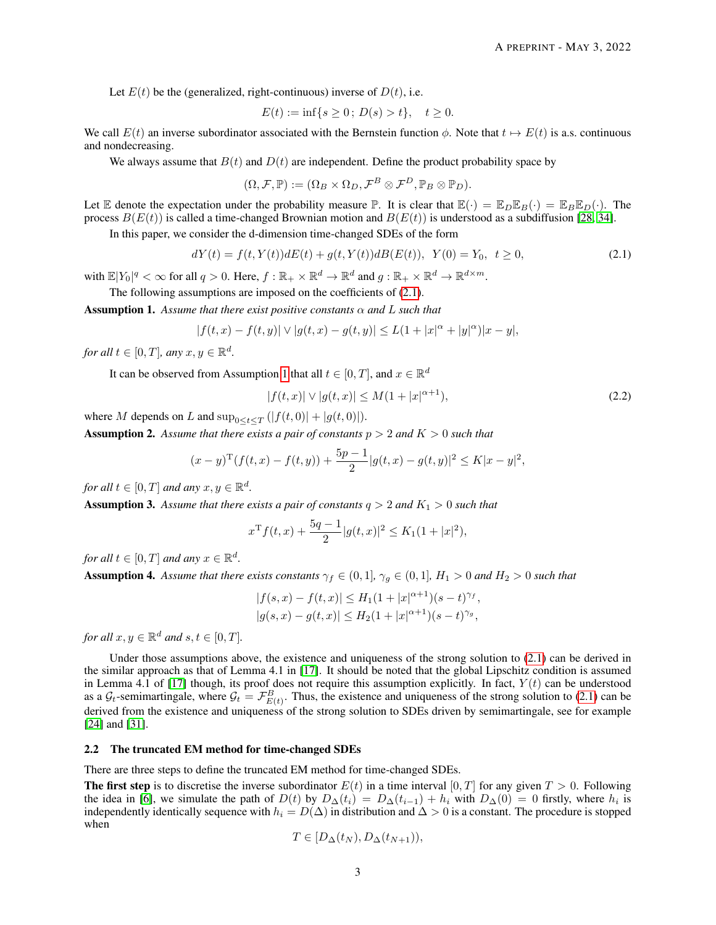Let  $E(t)$  be the (generalized, right-continuous) inverse of  $D(t)$ , i.e.

$$
E(t) := \inf\{s \ge 0; \, D(s) > t\}, \quad t \ge 0.
$$

We call  $E(t)$  an inverse subordinator associated with the Bernstein function  $\phi$ . Note that  $t \mapsto E(t)$  is a.s. continuous and nondecreasing.

We always assume that  $B(t)$  and  $D(t)$  are independent. Define the product probability space by

<span id="page-2-0"></span>
$$
(\Omega, \mathcal{F}, \mathbb{P}) := (\Omega_B \times \Omega_D, \mathcal{F}^B \otimes \mathcal{F}^D, \mathbb{P}_B \otimes \mathbb{P}_D).
$$

Let E denote the expectation under the probability measure  $\mathbb{P}$ . It is clear that  $\mathbb{E}(\cdot) = \mathbb{E}_D \mathbb{E}_B(\cdot) = \mathbb{E}_B \mathbb{E}_D(\cdot)$ . The process  $B(E(t))$  is called a time-changed Brownian motion and  $B(E(t))$  is understood as a subdiffusion [\[28,](#page-19-0) [34\]](#page-19-2).

In this paper, we consider the d-dimension time-changed SDEs of the form

$$
dY(t) = f(t, Y(t))dE(t) + g(t, Y(t))dE(E(t)), \ Y(0) = Y_0, \ t \ge 0,
$$
\n(2.1)

with  $\mathbb{E}|Y_0|^q < \infty$  for all  $q > 0$ . Here,  $f : \mathbb{R}_+ \times \mathbb{R}^d \to \mathbb{R}^d$  and  $g : \mathbb{R}_+ \times \mathbb{R}^d \to \mathbb{R}^{d \times m}$ .

The following assumptions are imposed on the coefficients of [\(2.1\)](#page-2-0).

<span id="page-2-1"></span>Assumption 1. *Assume that there exist positive constants* α *and* L *such that*

$$
|f(t,x)-f(t,y)|\vee |g(t,x)-g(t,y)|\leq L(1+|x|^{\alpha}+|y|^{\alpha})|x-y|,
$$

*for all*  $t \in [0, T]$ *, any*  $x, y \in \mathbb{R}^d$ *.* 

It can be observed from Assumption [1](#page-2-1) that all  $t \in [0, T]$ , and  $x \in \mathbb{R}^d$ 

<span id="page-2-5"></span>
$$
|f(t,x)| \vee |g(t,x)| \le M(1+|x|^{\alpha+1}),\tag{2.2}
$$

where M depends on L and  $\sup_{0 \le t \le T} (|f(t, 0)| + |g(t, 0)|)$ .

<span id="page-2-2"></span>**Assumption 2.** Assume that there exists a pair of constants  $p > 2$  and  $K > 0$  such that

$$
(x-y)^{\mathrm{T}}(f(t,x)-f(t,y))+\frac{5p-1}{2}|g(t,x)-g(t,y)|^2 \leq K|x-y|^2,
$$

*for all*  $t \in [0, T]$  *and any*  $x, y \in \mathbb{R}^d$ .

<span id="page-2-3"></span>**Assumption 3.** Assume that there exists a pair of constants  $q > 2$  and  $K_1 > 0$  such that

$$
x^{T} f(t,x) + \frac{5q-1}{2} |g(t,x)|^{2} \leq K_{1}(1+|x|^{2}),
$$

*for all*  $t \in [0, T]$  *and any*  $x \in \mathbb{R}^d$ .

<span id="page-2-4"></span>**Assumption 4.** Assume that there exists constants  $\gamma_f \in (0,1]$ ,  $\gamma_g \in (0,1]$ ,  $H_1 > 0$  and  $H_2 > 0$  such that

$$
|f(s,x) - f(t,x)| \le H_1(1+|x|^{\alpha+1})(s-t)^{\gamma_f},
$$
  

$$
|g(s,x) - g(t,x)| \le H_2(1+|x|^{\alpha+1})(s-t)^{\gamma_g},
$$

*for all*  $x, y \in \mathbb{R}^d$  *and*  $s, t \in [0, T]$ *.* 

Under those assumptions above, the existence and uniqueness of the strong solution to [\(2.1\)](#page-2-0) can be derived in the similar approach as that of Lemma 4.1 in [\[17\]](#page-18-1). It should be noted that the global Lipschitz condition is assumed in Lemma 4.1 of [\[17\]](#page-18-1) though, its proof does not require this assumption explicitly. In fact,  $Y(t)$  can be understood as a  $G_t$ -semimartingale, where  $G_t = \mathcal{F}_{E(t)}^B$ . Thus, the existence and uniqueness of the strong solution to [\(2.1\)](#page-2-0) can be derived from the existence and uniqueness of the strong solution to SDEs driven by semimartingale, see for example [\[24\]](#page-19-10) and [\[31\]](#page-19-11).

## 2.2 The truncated EM method for time-changed SDEs

There are three steps to define the truncated EM method for time-changed SDEs.

**The first step** is to discretise the inverse subordinator  $E(t)$  in a time interval [0, T] for any given  $T > 0$ . Following the idea in [\[6\]](#page-18-19), we simulate the path of  $D(t)$  by  $D_{\Delta}(t_i) = D_{\Delta}(t_{i-1}) + h_i$  with  $D_{\Delta}(0) = 0$  firstly, where  $h_i$  is independently identically sequence with  $h_i = D(\Delta)$  in distribution and  $\Delta > 0$  is a constant. The procedure is stopped when

$$
T\in [D_{\Delta}(t_N), D_{\Delta}(t_{N+1})),
$$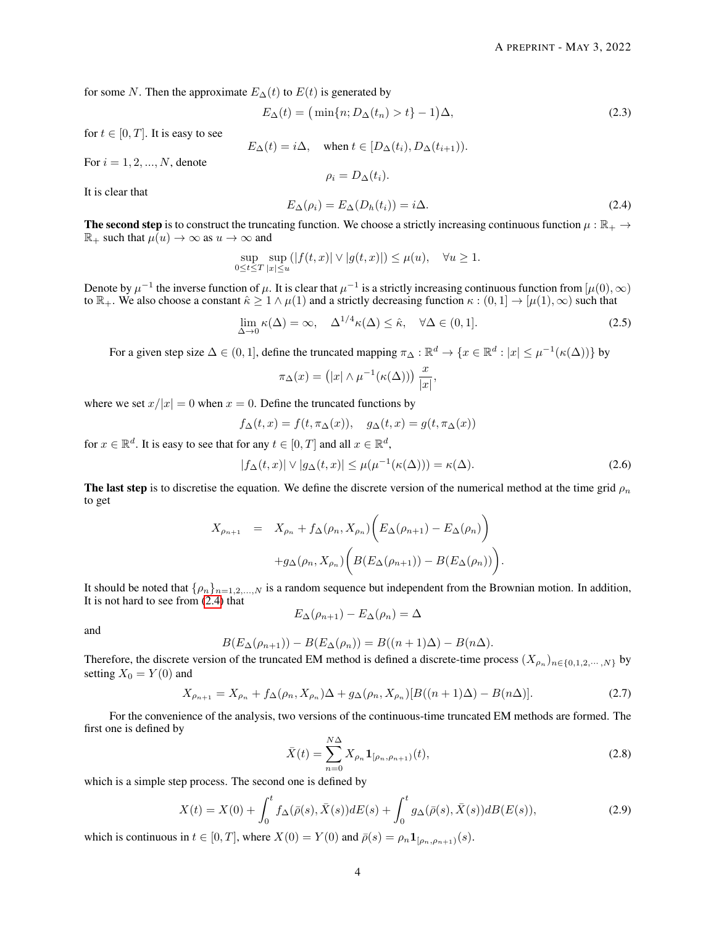for some N. Then the approximate  $E_{\Delta}(t)$  to  $E(t)$  is generated by

$$
E_{\Delta}(t) = \left(\min\{n; D_{\Delta}(t_n) > t\} - 1\right)\Delta,\tag{2.3}
$$

for  $t \in [0, T]$ . It is easy to see

$$
E_{\Delta}(t) = i\Delta
$$
, when  $t \in [D_{\Delta}(t_i), D_{\Delta}(t_{i+1}))$ .

<span id="page-3-3"></span> $\rho_i = D_{\Delta}(t_i).$ 

For  $i = 1, 2, ..., N$ , denote

<span id="page-3-0"></span>It is clear that

$$
E_{\Delta}(\rho_i) = E_{\Delta}(D_h(t_i)) = i\Delta.
$$
\n(2.4)

The second step is to construct the truncating function. We choose a strictly increasing continuous function  $\mu : \mathbb{R}_+ \to$  $\mathbb{R}_+$  such that  $\mu(u) \to \infty$  as  $u \to \infty$  and

$$
\sup_{0\leq t\leq T}\sup_{|x|\leq u}(|f(t,x)|\vee |g(t,x)|)\leq \mu(u),\quad \forall u\geq 1.
$$

Denote by  $\mu^{-1}$  the inverse function of  $\mu$ . It is clear that  $\mu^{-1}$  is a strictly increasing continuous function from  $[\mu(0), \infty)$ to  $\mathbb{R}_+$ . We also choose a constant  $\hat{\kappa} \geq 1 \wedge \mu(1)$  and a strictly decreasing function  $\kappa : (0,1] \to [\mu(1), \infty)$  such that

$$
\lim_{\Delta \to 0} \kappa(\Delta) = \infty, \quad \Delta^{1/4} \kappa(\Delta) \le \hat{\kappa}, \quad \forall \Delta \in (0, 1]. \tag{2.5}
$$

For a given step size  $\Delta \in (0,1]$ , define the truncated mapping  $\pi_{\Delta}: \mathbb{R}^d \to \{x \in \mathbb{R}^d : |x| \leq \mu^{-1}(\kappa(\Delta))\}$  by

<span id="page-3-2"></span>
$$
\pi_{\Delta}(x) = (|x| \wedge \mu^{-1}(\kappa(\Delta))) \frac{x}{|x|},
$$

where we set  $x/|x| = 0$  when  $x = 0$ . Define the truncated functions by

$$
f_{\Delta}(t,x) = f(t, \pi_{\Delta}(x)), \quad g_{\Delta}(t,x) = g(t, \pi_{\Delta}(x))
$$

for  $x \in \mathbb{R}^d$ . It is easy to see that for any  $t \in [0, T]$  and all  $x \in \mathbb{R}^d$ ,

$$
|f_{\Delta}(t,x)| \vee |g_{\Delta}(t,x)| \leq \mu(\mu^{-1}(\kappa(\Delta))) = \kappa(\Delta). \tag{2.6}
$$

The last step is to discretise the equation. We define the discrete version of the numerical method at the time grid  $\rho_n$ to get

$$
X_{\rho_{n+1}} = X_{\rho_n} + f_{\Delta}(\rho_n, X_{\rho_n}) \bigg( E_{\Delta}(\rho_{n+1}) - E_{\Delta}(\rho_n) \bigg) + g_{\Delta}(\rho_n, X_{\rho_n}) \bigg( B(E_{\Delta}(\rho_{n+1})) - B(E_{\Delta}(\rho_n)) \bigg).
$$

It should be noted that  $\{\rho_n\}_{n=1,2,...,N}$  is a random sequence but independent from the Brownian motion. In addition, It is not hard to see from [\(2.4\)](#page-3-0) that  $E_{\Delta}(\rho_{n+1}) - E_{\Delta}(\rho_n) = \Delta$ 

and

$$
P((c, 1)) = P(F((c, 1)) = P((c, 1)A) = P((c, 1)A)
$$

$$
B(E_{\Delta}(\rho_{n+1})) - B(E_{\Delta}(\rho_n)) = B((n+1)\Delta) - B(n\Delta).
$$

Therefore, the discrete version of the truncated EM method is defined a discrete-time process  $(X_{\rho_n})_{n \in \{0,1,2,\dots,N\}}$  by setting  $X_0 = Y(0)$  and

<span id="page-3-4"></span>
$$
X_{\rho_{n+1}} = X_{\rho_n} + f_\Delta(\rho_n, X_{\rho_n})\Delta + g_\Delta(\rho_n, X_{\rho_n})[B((n+1)\Delta) - B(n\Delta)].
$$
\n(2.7)

For the convenience of the analysis, two versions of the continuous-time truncated EM methods are formed. The first one is defined by

<span id="page-3-1"></span>
$$
\bar{X}(t) = \sum_{n=0}^{N\Delta} X_{\rho_n} \mathbf{1}_{[\rho_n, \rho_{n+1})}(t),
$$
\n(2.8)

which is a simple step process. The second one is defined by

$$
X(t) = X(0) + \int_0^t f_{\Delta}(\bar{\rho}(s), \bar{X}(s)) dE(s) + \int_0^t g_{\Delta}(\bar{\rho}(s), \bar{X}(s)) dE(E(s)),
$$
\n(2.9)

which is continuous in  $t \in [0, T]$ , where  $X(0) = Y(0)$  and  $\bar{\rho}(s) = \rho_n \mathbf{1}_{[\rho_n, \rho_{n+1})}(s)$ .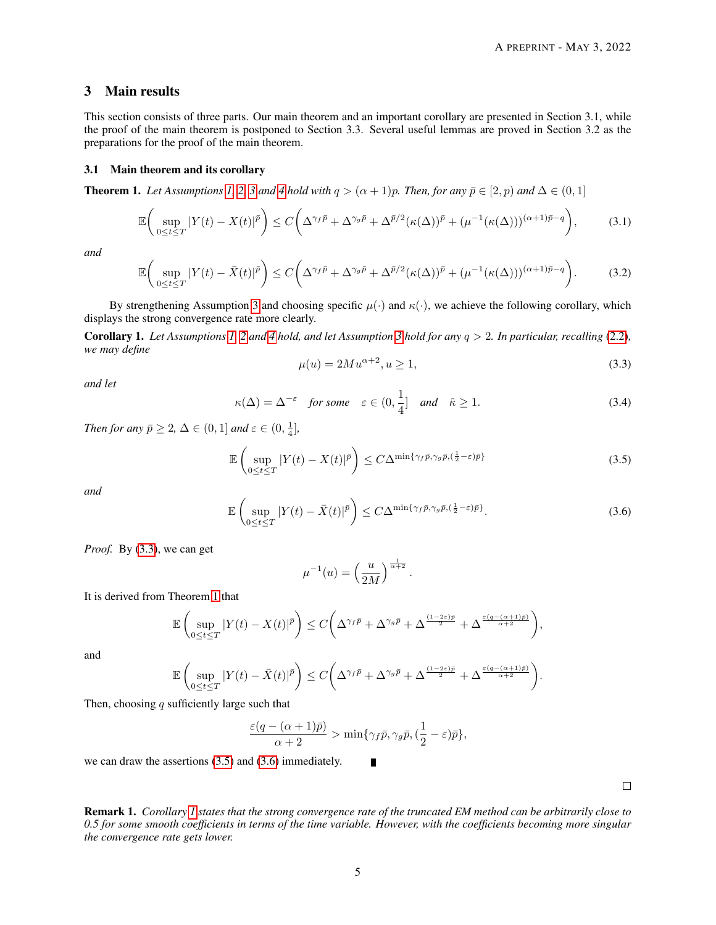# 3 Main results

This section consists of three parts. Our main theorem and an important corollary are presented in Section 3.1, while the proof of the main theorem is postponed to Section 3.3. Several useful lemmas are proved in Section 3.2 as the preparations for the proof of the main theorem.

#### 3.1 Main theorem and its corollary

<span id="page-4-1"></span>**Theorem 1.** *Let Assumptions* [1,](#page-2-1) [2,](#page-2-2) [3](#page-2-3) *and* [4](#page-2-4) *hold with*  $q > (\alpha + 1)p$ *. Then, for any*  $\bar{p} \in [2, p)$  *and*  $\Delta \in (0, 1]$ 

$$
\mathbb{E}\bigg(\sup_{0\leq t\leq T}|Y(t)-X(t)|^{\bar{p}}\bigg)\leq C\bigg(\Delta^{\gamma_{f}\bar{p}}+\Delta^{\gamma_{g}\bar{p}}+\Delta^{\bar{p}/2}(\kappa(\Delta))^{\bar{p}}+(\mu^{-1}(\kappa(\Delta)))^{(\alpha+1)\bar{p}-q}\bigg),\tag{3.1}
$$

<span id="page-4-6"></span>*and*

$$
\mathbb{E}\bigg(\sup_{0\leq t\leq T}|Y(t)-\bar{X}(t)|^{\bar{p}}\bigg)\leq C\bigg(\Delta^{\gamma_{f}\bar{p}}+\Delta^{\gamma_{g}\bar{p}}+\Delta^{\bar{p}/2}(\kappa(\Delta))^{\bar{p}}+(\mu^{-1}(\kappa(\Delta)))^{(\alpha+1)\bar{p}-q}\bigg).
$$
 (3.2)

By strengthening Assumption [3](#page-2-3) and choosing specific  $\mu(\cdot)$  and  $\kappa(\cdot)$ , we achieve the following corollary, which displays the strong convergence rate more clearly.

<span id="page-4-4"></span><span id="page-4-0"></span>Corollary 1. *Let Assumptions [1,](#page-2-1) [2](#page-2-2) and [4](#page-2-4) hold, and let Assumption [3](#page-2-3) hold for any* q > 2*. In particular, recalling* [\(2.2\)](#page-2-5)*, we may define*

<span id="page-4-5"></span><span id="page-4-2"></span>
$$
\mu(u) = 2Mu^{\alpha+2}, u \ge 1,\tag{3.3}
$$

*and let*

$$
\kappa(\Delta) = \Delta^{-\varepsilon} \quad \text{for some} \quad \varepsilon \in (0, \frac{1}{4}] \quad \text{and} \quad \hat{\kappa} \ge 1. \tag{3.4}
$$

*Then for any*  $\bar{p} \geq 2$ ,  $\Delta \in (0, 1]$  *and*  $\varepsilon \in (0, \frac{1}{4}]$ ,

$$
\mathbb{E}\left(\sup_{0\leq t\leq T}|Y(t)-X(t)|^{\bar{p}}\right)\leq C\Delta^{\min\{\gamma_{f}\bar{p},\gamma_{g}\bar{p},(\frac{1}{2}-\varepsilon)\bar{p}\}}\tag{3.5}
$$

<span id="page-4-3"></span>*and*

$$
\mathbb{E}\left(\sup_{0\leq t\leq T}|Y(t)-\bar{X}(t)|^{\bar{p}}\right)\leq C\Delta^{\min\{\gamma_{f}\bar{p},\gamma_{g}\bar{p},(\frac{1}{2}-\varepsilon)\bar{p}\}}.\tag{3.6}
$$

*Proof.* By [\(3.3\)](#page-4-0), we can get

$$
\mu^{-1}(u) = \left(\frac{u}{2M}\right)^{\frac{1}{\alpha+2}}.
$$

It is derived from Theorem [1](#page-4-1) that

$$
\mathbb{E}\left(\sup_{0\leq t\leq T}|Y(t)-X(t)|^{\bar{p}}\right)\leq C\bigg(\Delta^{\gamma_{f}\bar{p}}+\Delta^{\gamma_{g}\bar{p}}+\Delta^{\frac{(1-2\varepsilon)\bar{p}}{2}}+\Delta^{\frac{\varepsilon(q-(\alpha+1)\bar{p})}{\alpha+2}}\bigg),
$$

and

$$
\mathbb{E}\left(\sup_{0\leq t\leq T}|Y(t)-\bar{X}(t)|^{\bar{p}}\right)\leq C\bigg(\Delta^{\gamma_f\bar{p}}+\Delta^{\gamma_g\bar{p}}+\Delta^{\frac{(1-2\varepsilon)\bar{p}}{2}}+\Delta^{\frac{\varepsilon(q-(\alpha+1)\bar{p})}{\alpha+2}}\bigg).
$$

Then, choosing  $q$  sufficiently large such that

$$
\frac{\varepsilon (q-(\alpha+1)\bar p)}{\alpha+2}>\min\{\gamma_f\bar p,\gamma_g\bar p, (\frac{1}{2}-\varepsilon)\bar p\},
$$

П

we can draw the assertions [\(3.5\)](#page-4-2) and [\(3.6\)](#page-4-3) immediately.

 $\Box$ 

Remark 1. *Corollary [1](#page-4-4) states that the strong convergence rate of the truncated EM method can be arbitrarily close to 0.5 for some smooth coefficients in terms of the time variable. However, with the coefficients becoming more singular the convergence rate gets lower.*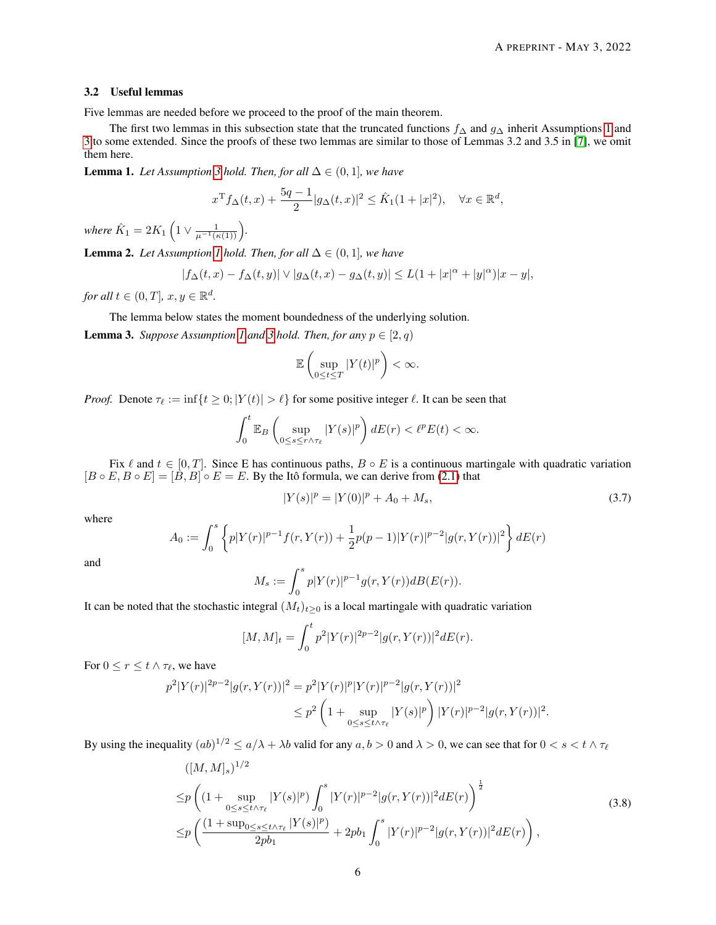#### 3.2 Useful lemmas

Five lemmas are needed before we proceed to the proof of the main theorem.

The first two lemmas in this subsection state that the truncated functions  $f_\Delta$  and  $g_\Delta$  inherit Assumptions [1](#page-2-1) and [3](#page-2-3) to some extended. Since the proofs of these two lemmas are similar to those of Lemmas 3.2 and 3.5 in [\[7\]](#page-18-20), we omit them here.

<span id="page-5-3"></span>**Lemma 1.** *Let Assumption [3](#page-2-3) hold. Then, for all*  $\Delta \in (0, 1]$ *, we have* 

$$
x^{T} f_{\Delta}(t, x) + \frac{5q - 1}{2} |g_{\Delta}(t, x)|^{2} \leq \hat{K}_{1}(1 + |x|^{2}), \quad \forall x \in \mathbb{R}^{d},
$$

*where*  $\hat{K}_1 = 2K_1 \left( 1 \vee \frac{1}{\mu^{-1}(\kappa(1))} \right)$ .

**Lemma 2.** *Let Assumption [1](#page-2-1) hold. Then, for all*  $\Delta \in (0, 1]$ *, we have* 

$$
|f_{\Delta}(t,x) - f_{\Delta}(t,y)| \vee |g_{\Delta}(t,x) - g_{\Delta}(t,y)| \leq L(1 + |x|^{\alpha} + |y|^{\alpha})|x - y|,
$$

*for all*  $t \in (0, T]$ *,*  $x, y \in \mathbb{R}^d$ *.* 

The lemma below states the moment boundedness of the underlying solution.

<span id="page-5-2"></span>**Lemma [3](#page-2-3).** *Suppose Assumption [1](#page-2-1) and 3 hold. Then, for any*  $p \in [2, q)$ 

$$
\mathbb{E}\left(\sup_{0\leq t\leq T}|Y(t)|^p\right)<\infty.
$$

*Proof.* Denote  $\tau_{\ell} := \inf\{t \geq 0; |Y(t)| > \ell\}$  for some positive integer  $\ell$ . It can be seen that

$$
\int_0^t \mathbb{E}_B \left( \sup_{0 \le s \le r \wedge \tau_\ell} |Y(s)|^p \right) dE(r) < \ell^p E(t) < \infty.
$$

Fix  $\ell$  and  $t \in [0, T]$ . Since E has continuous paths,  $B \circ E$  is a continuous martingale with quadratic variation  $[B \circ E, B \circ E] = [\dot{B}, B] \circ E = E$ . By the Itô formula, we can derive from [\(2.1\)](#page-2-0) that

<span id="page-5-1"></span>
$$
|Y(s)|^p = |Y(0)|^p + A_0 + M_s,
$$
\n(3.7)

where

$$
A_0 := \int_0^s \left\{ p|Y(r)|^{p-1} f(r, Y(r)) + \frac{1}{2} p(p-1)|Y(r)|^{p-2} |g(r, Y(r))|^2 \right\} dE(r)
$$

and

$$
M_s := \int_0^s p|Y(r)|^{p-1} g(r, Y(r)) dB(E(r)).
$$

It can be noted that the stochastic integral  $(M_t)_{t\geq 0}$  is a local martingale with quadratic variation

<span id="page-5-0"></span>
$$
[M,M]_t = \int_0^t p^2 |Y(r)|^{2p-2} |g(r,Y(r))|^2 dE(r).
$$

For  $0 \le r \le t \wedge \tau_{\ell}$ , we have

$$
p^{2}|Y(r)|^{2p-2}|g(r,Y(r))|^{2} = p^{2}|Y(r)|^{p}|Y(r)|^{p-2}|g(r,Y(r))|^{2}
$$
  

$$
\leq p^{2}\left(1+\sup_{0\leq s\leq t\wedge\tau_{\ell}}|Y(s)|^{p}\right)|Y(r)|^{p-2}|g(r,Y(r))|^{2}.
$$

By using the inequality  $(ab)^{1/2} \le a/\lambda + \lambda b$  valid for any  $a, b > 0$  and  $\lambda > 0$ , we can see that for  $0 < s < t \wedge \tau_{\ell}$ 

$$
\begin{split}\n&([M,M]_{s})^{1/2} \\
&\leq& p\left((1+\sup_{0\leq s\leq t\wedge\tau_{\ell}}|Y(s)|^{p})\int_{0}^{s}|Y(r)|^{p-2}|g(r,Y(r))|^{2}dE(r)\right)^{\frac{1}{2}} \\
&\leq& p\left(\frac{(1+\sup_{0\leq s\leq t\wedge\tau_{\ell}}|Y(s)|^{p})}{2pb_{1}}+2pb_{1}\int_{0}^{s}|Y(r)|^{p-2}|g(r,Y(r))|^{2}dE(r)\right),\n\end{split} \tag{3.8}
$$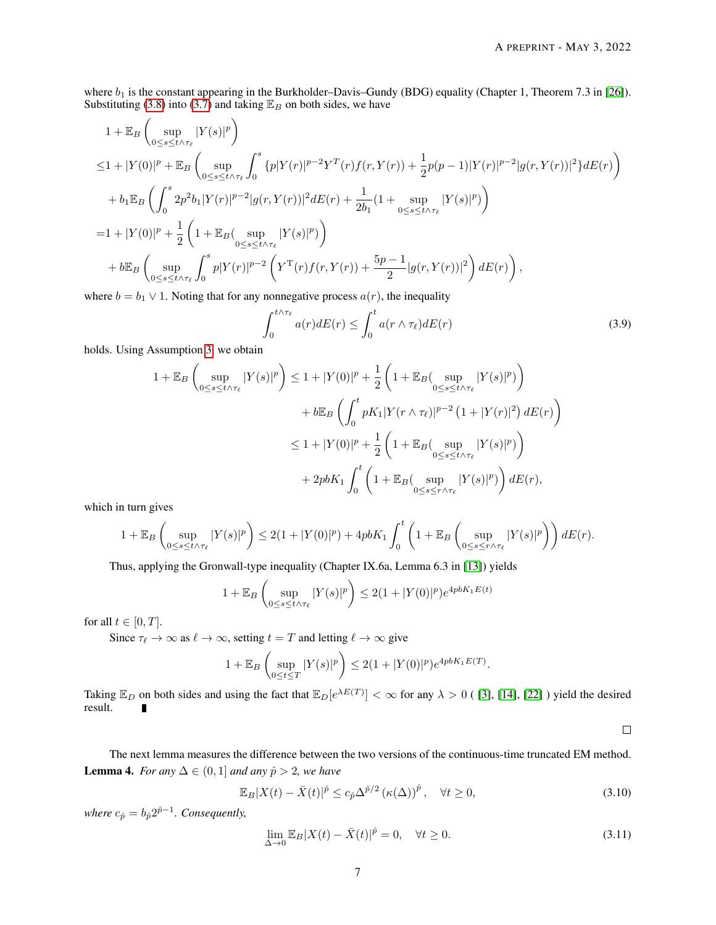where  $b_1$  is the constant appearing in the Burkholder–Davis–Gundy (BDG) equality (Chapter 1, Theorem 7.3 in [\[26\]](#page-19-12)). Substituting [\(3.8\)](#page-5-0) into [\(3.7\)](#page-5-1) and taking  $\mathbb{E}_B$  on both sides, we have

$$
1 + \mathbb{E}_{B} \left( \sup_{0 \le s \le t \wedge \tau_{\ell}} |Y(s)|^{p} \right)
$$
  
\n
$$
\le 1 + |Y(0)|^{p} + \mathbb{E}_{B} \left( \sup_{0 \le s \le t \wedge \tau_{\ell}} \int_{0}^{s} \{p|Y(r)|^{p-2}Y^{T}(r)f(r,Y(r)) + \frac{1}{2}p(p-1)|Y(r)|^{p-2}|g(r,Y(r))|^{2}\}dE(r) \right)
$$
  
\n
$$
+ b_{1}\mathbb{E}_{B} \left( \int_{0}^{s} 2p^{2}b_{1}|Y(r)|^{p-2}|g(r,Y(r))|^{2}dE(r) + \frac{1}{2b_{1}}(1 + \sup_{0 \le s \le t \wedge \tau_{\ell}} |Y(s)|^{p}) \right)
$$
  
\n
$$
= 1 + |Y(0)|^{p} + \frac{1}{2} \left( 1 + \mathbb{E}_{B} \left( \sup_{0 \le s \le t \wedge \tau_{\ell}} |Y(s)|^{p} \right) \right)
$$
  
\n
$$
+ b\mathbb{E}_{B} \left( \sup_{0 \le s \le t \wedge \tau_{\ell}} \int_{0}^{s} p|Y(r)|^{p-2} \left( Y^{T}(r)f(r,Y(r)) + \frac{5p-1}{2} |g(r,Y(r))|^{2} \right) dE(r) \right),
$$

where  $b = b_1 \vee 1$ . Noting that for any nonnegative process  $a(r)$ , the inequality

<span id="page-6-2"></span>
$$
\int_0^{t \wedge \tau_\ell} a(r) dE(r) \le \int_0^t a(r \wedge \tau_\ell) dE(r) \tag{3.9}
$$

holds. Using Assumption [3,](#page-2-3) we obtain

$$
1 + \mathbb{E}_B \left( \sup_{0 \le s \le t \wedge \tau_\ell} |Y(s)|^p \right) \le 1 + |Y(0)|^p + \frac{1}{2} \left( 1 + \mathbb{E}_B (\sup_{0 \le s \le t \wedge \tau_\ell} |Y(s)|^p) \right)
$$
  
+ 
$$
b \mathbb{E}_B \left( \int_0^t pK_1 |Y(r \wedge \tau_\ell)|^{p-2} \left( 1 + |Y(r)|^2 \right) dE(r) \right)
$$
  

$$
\le 1 + |Y(0)|^p + \frac{1}{2} \left( 1 + \mathbb{E}_B (\sup_{0 \le s \le t \wedge \tau_\ell} |Y(s)|^p) \right)
$$
  
+ 
$$
2pbK_1 \int_0^t \left( 1 + \mathbb{E}_B (\sup_{0 \le s \le r \wedge \tau_\ell} |Y(s)|^p) \right) dE(r),
$$

which in turn gives

$$
1+\mathbb{E}_B\left(\sup_{0\leq s\leq t\wedge\tau_\ell}|Y(s)|^p\right)\leq 2(1+|Y(0)|^p)+4pbK_1\int_0^t\left(1+\mathbb{E}_B\left(\sup_{0\leq s\leq r\wedge\tau_\ell}|Y(s)|^p\right)\right)dE(r).
$$

Thus, applying the Gronwall-type inequality (Chapter IX.6a, Lemma 6.3 in [\[13\]](#page-18-21)) yields

$$
1 + \mathbb{E}_B \left( \sup_{0 \le s \le t \wedge \tau_\ell} |Y(s)|^p \right) \le 2(1 + |Y(0)|^p) e^{4pbK_1E(t)}
$$

for all  $t \in [0, T]$ .

Since  $\tau_{\ell} \to \infty$  as  $\ell \to \infty$ , setting  $t = T$  and letting  $\ell \to \infty$  give

$$
1 + \mathbb{E}_B \left( \sup_{0 \le t \le T} |Y(s)|^p \right) \le 2(1 + |Y(0)|^p) e^{4pbK_1 E(T)}.
$$

Taking  $\mathbb{E}_D$  on both sides and using the fact that  $\mathbb{E}_D[e^{\lambda E(T)}] < \infty$  for any  $\lambda > 0$  ([\[3\]](#page-18-5), [\[14\]](#page-18-4), [\[22\]](#page-18-22)) yield the desired result.  $\blacksquare$ 

 $\Box$ 

<span id="page-6-3"></span>The next lemma measures the difference between the two versions of the continuous-time truncated EM method. **Lemma 4.** *For any*  $\Delta \in (0, 1]$  *and any*  $\hat{p} > 2$ *, we have* 

<span id="page-6-1"></span>
$$
\mathbb{E}_B|X(t) - \bar{X}(t)|^{\hat{p}} \le c_{\hat{p}}\Delta^{\hat{p}/2} \left(\kappa(\Delta)\right)^{\hat{p}}, \quad \forall t \ge 0,
$$
\n(3.10)

*where*  $c_{\hat{p}} = b_{\hat{p}} 2^{\hat{p}-1}$ *. Consequently,* 

<span id="page-6-0"></span>
$$
\lim_{\Delta \to 0} \mathbb{E}_B |X(t) - \bar{X}(t)|^{\hat{p}} = 0, \quad \forall t \ge 0.
$$
\n(3.11)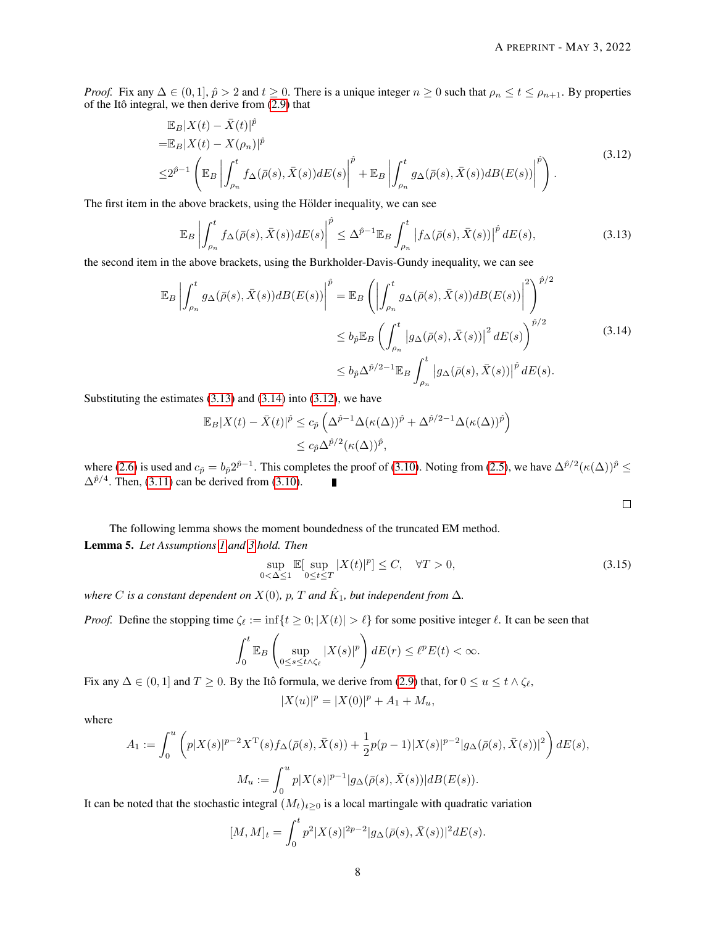*Proof.* Fix any  $\Delta \in (0, 1], \hat{p} > 2$  and  $t \geq 0$ . There is a unique integer  $n \geq 0$  such that  $\rho_n \leq t \leq \rho_{n+1}$ . By properties of the Itô integral, we then derive from  $(2.9)$  that

<span id="page-7-2"></span>
$$
\mathbb{E}_{B}|X(t) - \bar{X}(t)|^{\hat{p}}\n= \mathbb{E}_{B}|X(t) - X(\rho_{n})|^{\hat{p}}\n\leq 2^{\hat{p}-1} \left( \mathbb{E}_{B} \left| \int_{\rho_{n}}^{t} f_{\Delta}(\bar{\rho}(s), \bar{X}(s)) dE(s) \right|^{2} + \mathbb{E}_{B} \left| \int_{\rho_{n}}^{t} g_{\Delta}(\bar{\rho}(s), \bar{X}(s)) dB(E(s)) \right|^{2} \right).
$$
\n(3.12)

The first item in the above brackets, using the Hölder inequality, we can see

<span id="page-7-0"></span>
$$
\mathbb{E}_B \left| \int_{\rho_n}^t f_\Delta(\bar{\rho}(s), \bar{X}(s)) dE(s) \right|^{\hat{p}} \leq \Delta^{\hat{p}-1} \mathbb{E}_B \int_{\rho_n}^t \left| f_\Delta(\bar{\rho}(s), \bar{X}(s)) \right|^{\hat{p}} dE(s), \tag{3.13}
$$

the second item in the above brackets, using the Burkholder-Davis-Gundy inequality, we can see

$$
\mathbb{E}_{B}\left|\int_{\rho_{n}}^{t}g_{\Delta}(\bar{\rho}(s),\bar{X}(s))dB(E(s))\right|^{\hat{p}} = \mathbb{E}_{B}\left(\left|\int_{\rho_{n}}^{t}g_{\Delta}(\bar{\rho}(s),\bar{X}(s))dB(E(s))\right|^{2}\right)^{\hat{p}/2} \le b_{\hat{p}}\mathbb{E}_{B}\left(\int_{\rho_{n}}^{t}\left|g_{\Delta}(\bar{\rho}(s),\bar{X}(s))\right|^{2}dE(s)\right)^{\hat{p}/2} \le b_{\hat{p}}\Delta^{\hat{p}/2-1}\mathbb{E}_{B}\int_{\rho_{n}}^{t}\left|g_{\Delta}(\bar{\rho}(s),\bar{X}(s))\right|^{\hat{p}}dE(s).
$$
\n(3.14)

Substituting the estimates  $(3.13)$  and  $(3.14)$  into  $(3.12)$ , we have

$$
\mathbb{E}_B|X(t) - \bar{X}(t)|^{\hat{p}} \le c_{\hat{p}} \left(\Delta^{\hat{p}-1} \Delta(\kappa(\Delta))^{\hat{p}} + \Delta^{\hat{p}/2 - 1} \Delta(\kappa(\Delta))^{\hat{p}}\right)
$$
  

$$
\le c_{\hat{p}} \Delta^{\hat{p}/2} (\kappa(\Delta))^{\hat{p}},
$$

where [\(2.6\)](#page-3-2) is used and  $c_{\hat{p}} = b_{\hat{p}} 2^{\hat{p}-1}$ . This completes the proof of [\(3.10\)](#page-6-0). Noting from [\(2.5\)](#page-3-3), we have  $\Delta^{\hat{p}/2} (\kappa(\Delta))^{\hat{p}} \leq$  $\Delta^{\hat{p}/4}$ . Then, [\(3.11\)](#page-6-1) can be derived from [\(3.10\)](#page-6-0).  $\blacksquare$ 

<span id="page-7-1"></span> $\Box$ 

<span id="page-7-4"></span>The following lemma shows the moment boundedness of the truncated EM method. Lemma 5. *Let Assumptions [1](#page-2-1) and [3](#page-2-3) hold. Then*

<span id="page-7-3"></span>
$$
\sup_{0<\Delta\leq 1} \mathbb{E}[\sup_{0\leq t\leq T} |X(t)|^p] \leq C, \quad \forall T > 0,
$$
\n(3.15)

where C is a constant dependent on  $X(0)$ ,  $p$ ,  $T$  and  $\hat{K}_{1}$ , but independent from  $\Delta$ .

*Proof.* Define the stopping time  $\zeta_{\ell} := \inf\{t \geq 0; |X(t)| > \ell\}$  for some positive integer  $\ell$ . It can be seen that

$$
\int_0^t \mathbb{E}_B\left(\sup_{0\leq s\leq t\wedge\zeta_\ell}|X(s)|^p\right)dE(r)\leq \ell^pE(t)<\infty.
$$

Fix any  $\Delta \in (0, 1]$  and  $T \ge 0$ . By the Itô formula, we derive from [\(2.9\)](#page-3-1) that, for  $0 \le u \le t \wedge \zeta_{\ell}$ ,

$$
|X(u)|^p = |X(0)|^p + A_1 + M_u,
$$

where

$$
A_1 := \int_0^u \left( p|X(s)|^{p-2} X^{\mathrm{T}}(s) f_{\Delta}(\bar{\rho}(s), \bar{X}(s)) + \frac{1}{2} p(p-1)|X(s)|^{p-2} |g_{\Delta}(\bar{\rho}(s), \bar{X}(s))|^2 \right) dE(s),
$$
  

$$
M_u := \int_0^u p|X(s)|^{p-1} |g_{\Delta}(\bar{\rho}(s), \bar{X}(s))| dB(E(s)).
$$

It can be noted that the stochastic integral  $(M_t)_{t\geq 0}$  is a local martingale with quadratic variation

$$
[M,M]_t = \int_0^t p^2 |X(s)|^{2p-2} |g_\Delta(\bar{\rho}(s), \bar{X}(s))|^2 dE(s).
$$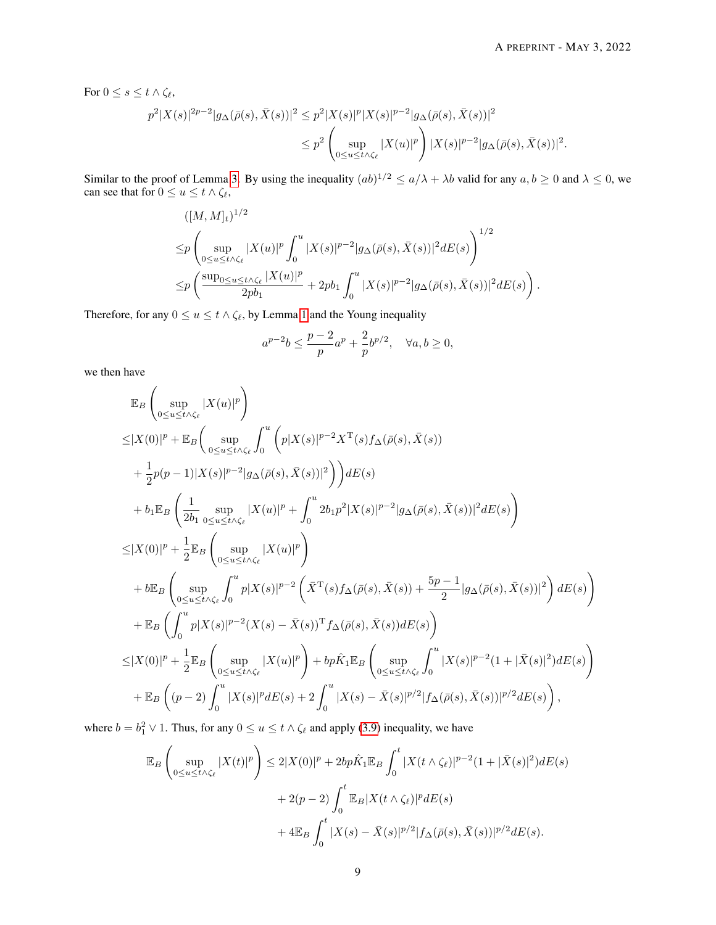For  $0 \leq s \leq t \wedge \zeta_{\ell}$ ,

$$
p^{2}|X(s)|^{2p-2}|g_{\Delta}(\bar{\rho}(s),\bar{X}(s))|^{2} \leq p^{2}|X(s)|^{p}|X(s)|^{p-2}|g_{\Delta}(\bar{\rho}(s),\bar{X}(s))|^{2}
$$
  

$$
\leq p^{2}\left(\sup_{0\leq u\leq t\wedge\zeta_{\ell}}|X(u)|^{p}\right)|X(s)|^{p-2}|g_{\Delta}(\bar{\rho}(s),\bar{X}(s))|^{2}.
$$

Similar to the proof of Lemma [3.](#page-5-2) By using the inequality  $(ab)^{1/2} \le a/\lambda + \lambda b$  valid for any  $a, b \ge 0$  and  $\lambda \le 0$ , we can see that for  $0 \le u \le t \wedge \zeta_{\ell}$ ,

$$
\begin{split} & ( [M, M]_t)^{1/2} \\ \leq & p \left( \sup_{0 \leq u \leq t \wedge \zeta_{\ell}} |X(u)|^p \int_0^u |X(s)|^{p-2} |g_\Delta(\bar{\rho}(s), \bar{X}(s))|^2 dE(s) \right)^{1/2} \\ \leq & p \left( \frac{\sup_{0 \leq u \leq t \wedge \zeta_{\ell}} |X(u)|^p}{2pb_1} + 2pb_1 \int_0^u |X(s)|^{p-2} |g_\Delta(\bar{\rho}(s), \bar{X}(s))|^2 dE(s) \right). \end{split}
$$

Therefore, for any  $0 \le u \le t \wedge \zeta_{\ell}$ , by Lemma [1](#page-5-3) and the Young inequality

$$
a^{p-2}b \le \frac{p-2}{p}a^p + \frac{2}{p}b^{p/2}, \quad \forall a, b \ge 0,
$$

we then have

$$
\mathbb{E}_{B}\left(\sup_{0\leq u\leq t\wedge\zeta_{\ell}}|X(u)|^{p}\right) \leq |X(0)|^{p}+\mathbb{E}_{B}\left(\sup_{0\leq u\leq t\wedge\zeta_{\ell}}\int_{0}^{u}\left(p|X(s)|^{p-2}X^{\mathsf{T}}(s)f_{\Delta}(\bar{\rho}(s),\bar{X}(s))\right) \n+\frac{1}{2}p(p-1)|X(s)|^{p-2}|g_{\Delta}(\bar{\rho}(s),\bar{X}(s))|^{2}\right)\right) dE(s) \n+ b_{1}\mathbb{E}_{B}\left(\frac{1}{2b_{1}}\sup_{0\leq u\leq t\wedge\zeta_{\ell}}|X(u)|^{p}+\int_{0}^{u}2b_{1}p^{2}|X(s)|^{p-2}|g_{\Delta}(\bar{\rho}(s),\bar{X}(s))|^{2}dE(s)\right) \n\leq |X(0)|^{p}+\frac{1}{2}\mathbb{E}_{B}\left(\sup_{0\leq u\leq t\wedge\zeta_{\ell}}|X(u)|^{p}\right) \n+ b\mathbb{E}_{B}\left(\sup_{0\leq u\leq t\wedge\zeta_{\ell}}\int_{0}^{u}p|X(s)|^{p-2}\left(\bar{X}^{\mathsf{T}}(s)f_{\Delta}(\bar{\rho}(s),\bar{X}(s))+\frac{5p-1}{2}|g_{\Delta}(\bar{\rho}(s),\bar{X}(s))|^{2}\right)dE(s)\right) \n+ \mathbb{E}_{B}\left(\int_{0}^{u}p|X(s)|^{p-2}(X(s)-\bar{X}(s))^{\mathsf{T}}f_{\Delta}(\bar{\rho}(s),\bar{X}(s))dE(s)\right) \n\leq |X(0)|^{p}+\frac{1}{2}\mathbb{E}_{B}\left(\sup_{0\leq u\leq t\wedge\zeta_{\ell}}|X(u)|^{p}\right)+bp\hat{K}_{1}\mathbb{E}_{B}\left(\sup_{0\leq u\leq t\wedge\zeta_{\ell}}\int_{0}^{u}|X(s)|^{p-2}(1+|\bar{X}(s)|^{2})dE(s)\right) \n+ \mathbb{E}_{B}\left((p-2)\int_{0}^{u}|X(s)|^{p}dE(s)+2\int_{0}^{u}|X(s)-\bar{X}(s)|^{p/2}|f_{\Delta}(\
$$

where  $b = b_1^2 \vee 1$ . Thus, for any  $0 \le u \le t \wedge \zeta_{\ell}$  and apply [\(3.9\)](#page-6-2) inequality, we have

$$
\mathbb{E}_{B}\left(\sup_{0\leq u\leq t\wedge\zeta_{\ell}}|X(t)|^{p}\right)\leq 2|X(0)|^{p}+2bp\hat{K}_{1}\mathbb{E}_{B}\int_{0}^{t}|X(t\wedge\zeta_{\ell})|^{p-2}(1+|\bar{X}(s)|^{2})dE(s) \n+2(p-2)\int_{0}^{t}\mathbb{E}_{B}|X(t\wedge\zeta_{\ell})|^{p}dE(s) \n+4\mathbb{E}_{B}\int_{0}^{t}|X(s)-\bar{X}(s)|^{p/2}|f_{\Delta}(\bar{\rho}(s),\bar{X}(s))|^{p/2}dE(s).
$$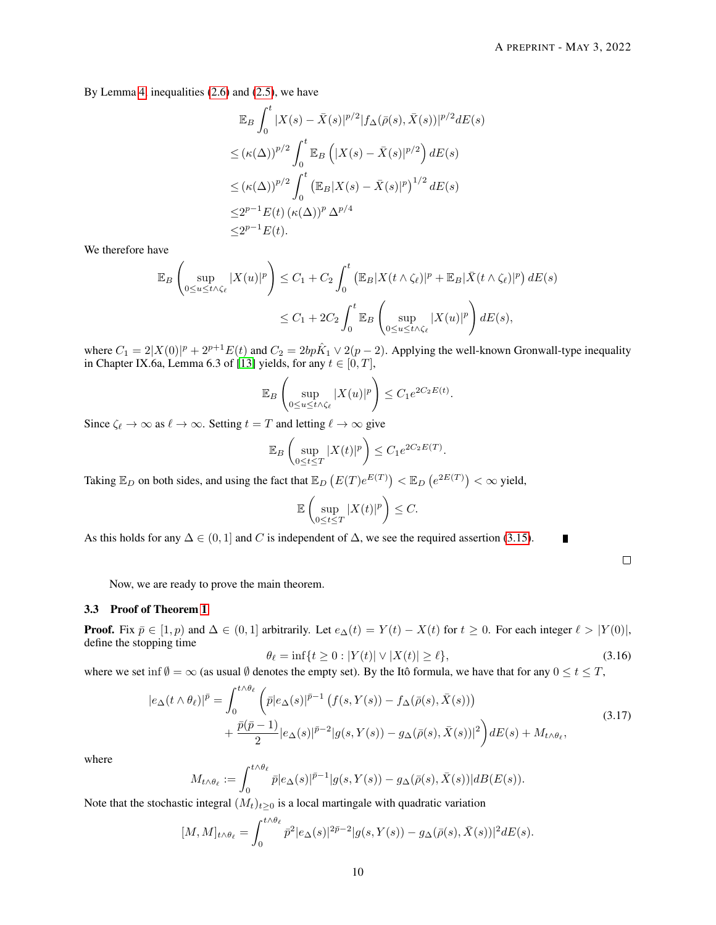By Lemma [4,](#page-6-3) inequalities [\(2.6\)](#page-3-2) and [\(2.5\)](#page-3-3), we have

$$
\mathbb{E}_{B} \int_{0}^{t} |X(s) - \bar{X}(s)|^{p/2} |f_{\Delta}(\bar{\rho}(s), \bar{X}(s))|^{p/2} dE(s)
$$
  
\n
$$
\leq (\kappa(\Delta))^{p/2} \int_{0}^{t} \mathbb{E}_{B} \left( |X(s) - \bar{X}(s)|^{p/2} \right) dE(s)
$$
  
\n
$$
\leq (\kappa(\Delta))^{p/2} \int_{0}^{t} \left( \mathbb{E}_{B} |X(s) - \bar{X}(s)|^{p} \right)^{1/2} dE(s)
$$
  
\n
$$
\leq 2^{p-1} E(t) \left( \kappa(\Delta) \right)^{p} \Delta^{p/4}
$$
  
\n
$$
\leq 2^{p-1} E(t).
$$

We therefore have

$$
\mathbb{E}_B \left( \sup_{0 \le u \le t \wedge \zeta_\ell} |X(u)|^p \right) \le C_1 + C_2 \int_0^t \left( \mathbb{E}_B |X(t \wedge \zeta_\ell)|^p + \mathbb{E}_B |\bar{X}(t \wedge \zeta_\ell)|^p \right) dE(s)
$$
  

$$
\le C_1 + 2C_2 \int_0^t \mathbb{E}_B \left( \sup_{0 \le u \le t \wedge \zeta_\ell} |X(u)|^p \right) dE(s),
$$

where  $C_1 = 2|X(0)|^p + 2^{p+1}E(t)$  and  $C_2 = 2bp\hat{K}_1 \vee 2(p-2)$ . Applying the well-known Gronwall-type inequality in Chapter IX.6a, Lemma 6.3 of [\[13\]](#page-18-21) yields, for any  $t \in [0, T]$ ,

$$
\mathbb{E}_B\left(\sup_{0\leq u\leq t\wedge\zeta_{\ell}}|X(u)|^p\right)\leq C_1e^{2C_2E(t)}.
$$

Since  $\zeta_{\ell} \to \infty$  as  $\ell \to \infty$ . Setting  $t = T$  and letting  $\ell \to \infty$  give

$$
\mathbb{E}_B\left(\sup_{0\leq t\leq T}|X(t)|^p\right)\leq C_1e^{2C_2E(T)}.
$$

Taking  $\mathbb{E}_D$  on both sides, and using the fact that  $\mathbb{E}_D(E(T)e^{E(T)}) < \mathbb{E}_D(e^{2E(T)}) < \infty$  yield,

$$
\mathbb{E}\left(\sup_{0\leq t\leq T}|X(t)|^p\right)\leq C.
$$

As this holds for any  $\Delta \in (0, 1]$  and C is independent of  $\Delta$ , we see the required assertion [\(3.15\)](#page-7-3).

<span id="page-9-0"></span>

 $\blacksquare$ 

Now, we are ready to prove the main theorem.

#### 3.3 Proof of Theorem [1](#page-4-1)

**Proof.** Fix  $\bar{p} \in [1, p)$  and  $\Delta \in (0, 1]$  arbitrarily. Let  $e_{\Delta}(t) = Y(t) - X(t)$  for  $t \ge 0$ . For each integer  $\ell > |Y(0)|$ , define the stopping time

$$
\theta_{\ell} = \inf\{t \ge 0 : |Y(t)| \vee |X(t)| \ge \ell\},\tag{3.16}
$$

where we set inf  $\emptyset = \infty$  (as usual  $\emptyset$  denotes the empty set). By the Itô formula, we have that for any  $0 \le t \le T$ ,

$$
|e_{\Delta}(t \wedge \theta_{\ell})|^{\bar{p}} = \int_0^{t \wedge \theta_{\ell}} \left( \bar{p}|e_{\Delta}(s)|^{\bar{p}-1} \left( f(s, Y(s)) - f_{\Delta}(\bar{\rho}(s), \bar{X}(s)) \right) \right. \\ \left. + \frac{\bar{p}(\bar{p}-1)}{2} |e_{\Delta}(s)|^{\bar{p}-2} |g(s, Y(s)) - g_{\Delta}(\bar{\rho}(s), \bar{X}(s))|^2 \right) dE(s) + M_{t \wedge \theta_{\ell}}, \tag{3.17}
$$

where

$$
M_{t \wedge \theta_{\ell}} := \int_0^{t \wedge \theta_{\ell}} \bar{p} |e_{\Delta}(s)|^{\bar{p}-1} |g(s, Y(s)) - g_{\Delta}(\bar{\rho}(s), \bar{X}(s))| dB(E(s)).
$$

Note that the stochastic integral  $(M_t)_{t>0}$  is a local martingale with quadratic variation

$$
[M,M]_{t\wedge\theta_{\ell}} = \int_0^{t\wedge\theta_{\ell}} \bar{p}^2 |e_{\Delta}(s)|^{2\bar{p}-2} |g(s,Y(s)) - g_{\Delta}(\bar{\rho}(s),\bar{X}(s))|^2 dE(s).
$$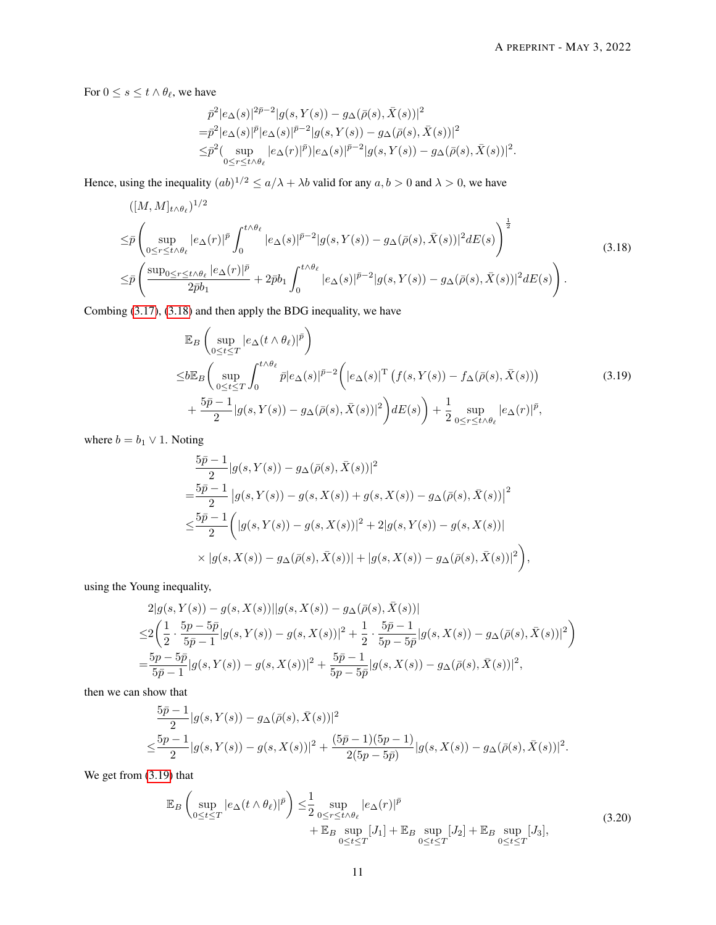For  $0 \le s \le t \wedge \theta_{\ell}$ , we have

<span id="page-10-0"></span>
$$
\begin{split} & \bar{p}^2|e_\Delta(s)|^{2\bar{p}-2}|g(s,Y(s))-g_\Delta(\bar{\rho}(s),\bar{X}(s))|^2\\ =&\bar{p}^2|e_\Delta(s)|^{\bar{p}}|e_\Delta(s)|^{\bar{p}-2}|g(s,Y(s))-g_\Delta(\bar{\rho}(s),\bar{X}(s))|^2\\ \leq& \bar{p}^2(\sup_{0\leq r\leq t\wedge\theta_\ell}|e_\Delta(r)|^{\bar{p}})|e_\Delta(s)|^{\bar{p}-2}|g(s,Y(s))-g_\Delta(\bar{\rho}(s),\bar{X}(s))|^2. \end{split}
$$

Hence, using the inequality  $(ab)^{1/2} \le a/\lambda + \lambda b$  valid for any  $a, b > 0$  and  $\lambda > 0$ , we have

$$
\begin{split}\n& \left( [M, M]_{t \wedge \theta_{\ell}} \right)^{1/2} \\
&\leq \bar{p} \left( \sup_{0 \leq r \leq t \wedge \theta_{\ell}} |e_{\Delta}(r)|^{\bar{p}} \int_{0}^{t \wedge \theta_{\ell}} |e_{\Delta}(s)|^{\bar{p}-2} |g(s, Y(s)) - g_{\Delta}(\bar{\rho}(s), \bar{X}(s))|^2 dE(s) \right)^{\frac{1}{2}} \\
&\leq \bar{p} \left( \frac{\sup_{0 \leq r \leq t \wedge \theta_{\ell}} |e_{\Delta}(r)|^{\bar{p}}}{2\bar{p}b_1} + 2\bar{p}b_1 \int_{0}^{t \wedge \theta_{\ell}} |e_{\Delta}(s)|^{\bar{p}-2} |g(s, Y(s)) - g_{\Delta}(\bar{\rho}(s), \bar{X}(s))|^2 dE(s) \right).\n\end{split} \tag{3.18}
$$

Combing [\(3.17\)](#page-9-0), [\(3.18\)](#page-10-0) and then apply the BDG inequality, we have

<span id="page-10-1"></span>
$$
\mathbb{E}_{B}\left(\sup_{0\leq t\leq T}|e_{\Delta}(t\wedge\theta_{\ell})|^{\bar{p}}\right) \leq b\mathbb{E}_{B}\left(\sup_{0\leq t\leq T}\int_{0}^{t\wedge\theta_{\ell}}\bar{p}|e_{\Delta}(s)|^{\bar{p}-2}\left(|e_{\Delta}(s)|^{T}\left(f(s,Y(s))-f_{\Delta}(\bar{\rho}(s),\bar{X}(s))\right)\right) +\frac{5\bar{p}-1}{2}|g(s,Y(s))-g_{\Delta}(\bar{\rho}(s),\bar{X}(s))|^{2}\right) dE(s)\right)+\frac{1}{2}\sup_{0\leq r\leq t\wedge\theta_{\ell}}|e_{\Delta}(r)|^{\bar{p}},
$$
\n(3.19)

where  $b = b_1 \vee 1$ . Noting

$$
\frac{5\bar{p}-1}{2}|g(s,Y(s))-g_{\Delta}(\bar{\rho}(s),\bar{X}(s))|^{2}
$$
\n
$$
=\frac{5\bar{p}-1}{2}|g(s,Y(s))-g(s,X(s))+g(s,X(s))-g_{\Delta}(\bar{\rho}(s),\bar{X}(s))|^{2}
$$
\n
$$
\leq \frac{5\bar{p}-1}{2}\left(|g(s,Y(s))-g(s,X(s))|^{2}+2|g(s,Y(s))-g(s,X(s))|\right)
$$
\n
$$
\times|g(s,X(s))-g_{\Delta}(\bar{\rho}(s),\bar{X}(s))|+|g(s,X(s))-g_{\Delta}(\bar{\rho}(s),\bar{X}(s))|^{2}\right),
$$

using the Young inequality,

$$
2|g(s, Y(s)) - g(s, X(s))||g(s, X(s)) - g_{\Delta}(\bar{\rho}(s), \bar{X}(s))|
$$
  
\n
$$
\leq 2\left(\frac{1}{2} \cdot \frac{5p - 5\bar{p}}{5\bar{p} - 1}|g(s, Y(s)) - g(s, X(s))|^2 + \frac{1}{2} \cdot \frac{5\bar{p} - 1}{5p - 5\bar{p}}|g(s, X(s)) - g_{\Delta}(\bar{\rho}(s), \bar{X}(s))|^2\right)
$$
  
\n
$$
= \frac{5p - 5\bar{p}}{5\bar{p} - 1}|g(s, Y(s)) - g(s, X(s))|^2 + \frac{5\bar{p} - 1}{5p - 5\bar{p}}|g(s, X(s)) - g_{\Delta}(\bar{\rho}(s), \bar{X}(s))|^2,
$$

then we can show that

$$
\frac{5\bar{p}-1}{2}|g(s,Y(s))-g_{\Delta}(\bar{\rho}(s),\bar{X}(s))|^{2}
$$
  

$$
\leq \frac{5\bar{p}-1}{2}|g(s,Y(s))-g(s,X(s))|^{2}+\frac{(5\bar{p}-1)(5\bar{p}-1)}{2(5\bar{p}-5\bar{p})}|g(s,X(s))-g_{\Delta}(\bar{\rho}(s),\bar{X}(s))|^{2}.
$$

We get from  $(3.19)$  that

<span id="page-10-2"></span>
$$
\mathbb{E}_{B}\left(\sup_{0\leq t\leq T}|e_{\Delta}(t\wedge\theta_{\ell})|^{\bar{p}}\right) \leq \frac{1}{2}\sup_{0\leq r\leq t\wedge\theta_{\ell}}|e_{\Delta}(r)|^{\bar{p}} + \mathbb{E}_{B}\sup_{0\leq t\leq T}[J_{1}] + \mathbb{E}_{B}\sup_{0\leq t\leq T}[J_{2}] + \mathbb{E}_{B}\sup_{0\leq t\leq T}[J_{3}],
$$
\n(3.20)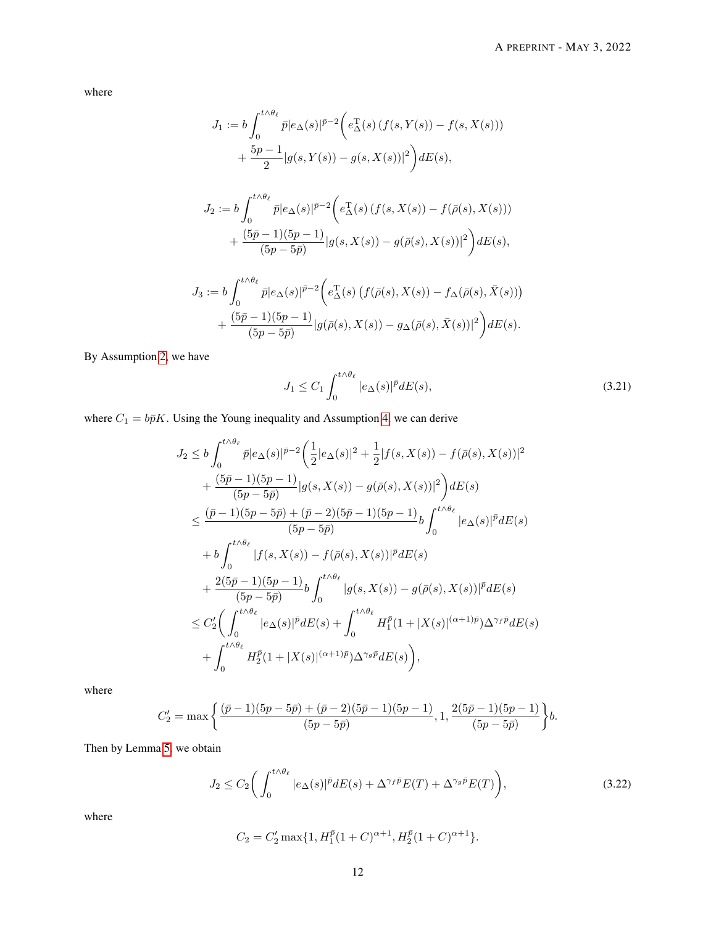where

$$
J_1 := b \int_0^{t \wedge \theta_\ell} \bar{p} |e_\Delta(s)|^{\bar{p}-2} \Big( e_\Delta^{\mathrm{T}}(s) \left( f(s, Y(s)) - f(s, X(s)) \right) + \frac{5p-1}{2} |g(s, Y(s)) - g(s, X(s))|^2 \Big) dE(s),
$$
  

$$
J_2 := b \int_0^{t \wedge \theta_\ell} \bar{p} |e_\Delta(s)|^{\bar{p}-2} \Big( e_\Delta^{\mathrm{T}}(s) \left( f(s, X(s)) - f(\bar{\rho}(s), X(s)) \right) + \frac{(5\bar{p}-1)(5p-1)}{(5p-5\bar{p})} |g(s, X(s)) - g(\bar{\rho}(s), X(s))|^2 \Big) dE(s),
$$
  

$$
J_3 := b \int_0^{t \wedge \theta_\ell} \bar{p} |e_\Delta(s)|^{\bar{p}-2} \Big( e_\Delta^{\mathrm{T}}(s) \left( f(\bar{\rho}(s), X(s)) - f_\Delta(\bar{\rho}(s), \bar{X}(s)) \right) + \frac{(5\bar{p}-1)(5p-1)}{(5p-5\bar{p})} |g(\bar{\rho}(s), X(s)) - g_\Delta(\bar{\rho}(s), \bar{X}(s))|^2 \Big) dE(s).
$$

By Assumption [2,](#page-2-2) we have

<span id="page-11-0"></span>
$$
J_1 \le C_1 \int_0^{t \wedge \theta_\ell} |e_\Delta(s)|^{\bar{p}} dE(s),\tag{3.21}
$$

where  $C_1 = b\bar{p}K$ . Using the Young inequality and Assumption [4,](#page-2-4) we can derive

$$
J_2 \leq b \int_0^{t \wedge \theta_{\ell}} \bar{p} |e_{\Delta}(s)|^{\bar{p}-2} \left( \frac{1}{2} |e_{\Delta}(s)|^2 + \frac{1}{2} |f(s, X(s)) - f(\bar{\rho}(s), X(s))|^2 \right) + \frac{(5\bar{p}-1)(5\bar{p}-1)}{(5\bar{p}-5\bar{p})} |g(s, X(s)) - g(\bar{\rho}(s), X(s))|^2 \right) dE(s)
$$
  

$$
\leq \frac{(\bar{p}-1)(5\bar{p}-5\bar{p}) + (\bar{p}-2)(5\bar{p}-1)(5\bar{p}-1)}{(5\bar{p}-5\bar{p})} b \int_0^{t \wedge \theta_{\ell}} |e_{\Delta}(s)|^{\bar{p}} dE(s)
$$

$$
+ b \int_0^{t \wedge \theta_{\ell}} |f(s, X(s)) - f(\bar{\rho}(s), X(s))|^{\bar{p}} dE(s)
$$

$$
+ \frac{2(5\bar{p}-1)(5\bar{p}-1)}{(5\bar{p}-5\bar{p})} b \int_0^{t \wedge \theta_{\ell}} |g(s, X(s)) - g(\bar{\rho}(s), X(s))|^{\bar{p}} dE(s)
$$

$$
\leq C_2' \left( \int_0^{t \wedge \theta_{\ell}} |e_{\Delta}(s)|^{\bar{p}} dE(s) + \int_0^{t \wedge \theta_{\ell}} H_1^{\bar{p}} (1 + |X(s)|^{(\alpha+1)\bar{p}}) \Delta^{\gamma_f \bar{p}} dE(s) + \int_0^{t \wedge \theta_{\ell}} H_2^{\bar{p}} (1 + |X(s)|^{(\alpha+1)\bar{p}}) \Delta^{\gamma_g \bar{p}} dE(s) \right),
$$

where

$$
C_2'=\max\bigg\{\frac{(\bar p-1)(5p-5\bar p)+(\bar p-2)(5\bar p-1)(5p-1)}{(5p-5\bar p)},1,\frac{2(5\bar p-1)(5p-1)}{(5p-5\bar p)}\bigg\}b.
$$

Then by Lemma [5,](#page-7-4) we obtain

<span id="page-11-1"></span>
$$
J_2 \le C_2 \bigg( \int_0^{t \wedge \theta_\ell} |e_\Delta(s)|^{\bar{p}} dE(s) + \Delta^{\gamma_f \bar{p}} E(T) + \Delta^{\gamma_g \bar{p}} E(T) \bigg), \tag{3.22}
$$

where

$$
C_2 = C_2' \max\{1, H_1^{\bar{p}}(1+C)^{\alpha+1}, H_2^{\bar{p}}(1+C)^{\alpha+1}\}.
$$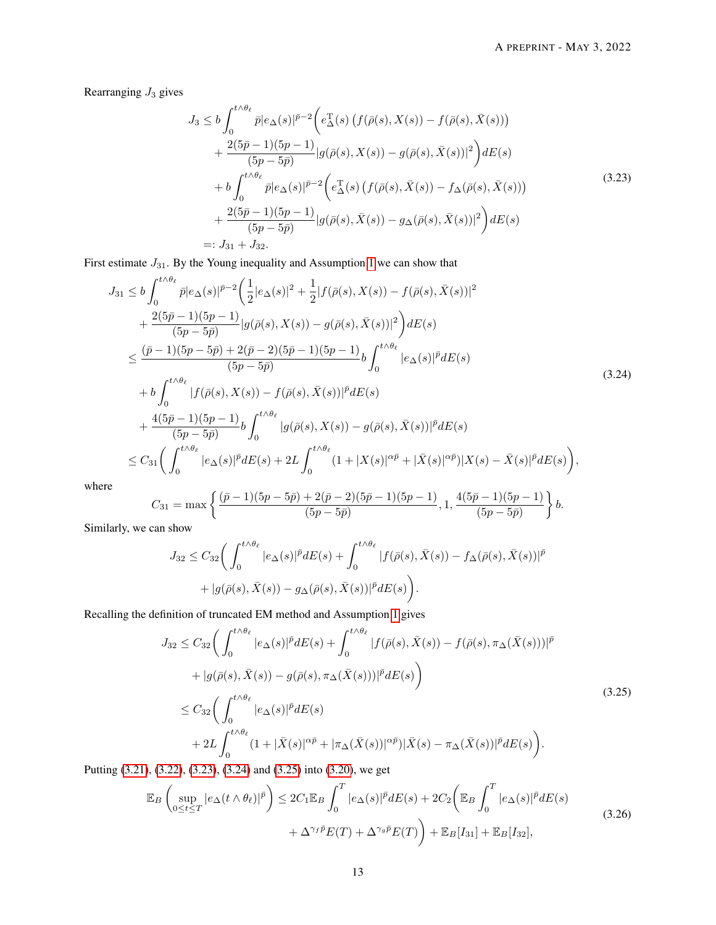Rearranging  $J_3$  gives

<span id="page-12-1"></span><span id="page-12-0"></span>
$$
J_3 \leq b \int_0^{t \wedge \theta_{\ell}} \bar{p}|e_{\Delta}(s)|^{\bar{p}-2} \Big(e_{\Delta}^{\mathrm{T}}(s) \left(f(\bar{\rho}(s), X(s)) - f(\bar{\rho}(s), \bar{X}(s))\right) + \frac{2(5\bar{p}-1)(5p-1)}{(5p-5\bar{p})}|g(\bar{\rho}(s), X(s)) - g(\bar{\rho}(s), \bar{X}(s))|^2\Big) dE(s) + b \int_0^{t \wedge \theta_{\ell}} \bar{p}|e_{\Delta}(s)|^{\bar{p}-2} \Big(e_{\Delta}^{\mathrm{T}}(s) \left(f(\bar{\rho}(s), \bar{X}(s)) - f_{\Delta}(\bar{\rho}(s), \bar{X}(s))\right) + \frac{2(5\bar{p}-1)(5p-1)}{(5p-5\bar{p})}|g(\bar{\rho}(s), \bar{X}(s)) - g_{\Delta}(\bar{\rho}(s), \bar{X}(s))|^2\Big) dE(s) =: J_{31} + J_{32}.
$$
\n(3.23)

First estimate  $J_{31}$ . By the Young inequality and Assumption [1](#page-2-1) we can show that

$$
J_{31} \leq b \int_0^{t \wedge \theta_{\ell}} \bar{p} |e_{\Delta}(s)|^{\bar{p}-2} \left( \frac{1}{2} |e_{\Delta}(s)|^2 + \frac{1}{2} |f(\bar{\rho}(s), X(s)) - f(\bar{\rho}(s), \bar{X}(s))|^2 \right) + \frac{2(5\bar{p}-1)(5p-1)}{(5p-5\bar{p})} |g(\bar{\rho}(s), X(s)) - g(\bar{\rho}(s), \bar{X}(s))|^2 \right) dE(s) \n\leq \frac{(\bar{p}-1)(5p-5\bar{p}) + 2(\bar{p}-2)(5\bar{p}-1)(5p-1)}{(5p-5\bar{p})} b \int_0^{t \wedge \theta_{\ell}} |e_{\Delta}(s)|^{\bar{p}} dE(s) + b \int_0^{t \wedge \theta_{\ell}} |f(\bar{\rho}(s), X(s)) - f(\bar{\rho}(s), \bar{X}(s))|^{\bar{p}} dE(s) + \frac{4(5\bar{p}-1)(5p-1)}{(5p-5\bar{p})} b \int_0^{t \wedge \theta_{\ell}} |g(\bar{\rho}(s), X(s)) - g(\bar{\rho}(s), \bar{X}(s))|^{\bar{p}} dE(s) \n\leq C_{31} \Biggl( \int_0^{t \wedge \theta_{\ell}} |e_{\Delta}(s)|^{\bar{p}} dE(s) + 2L \int_0^{t \wedge \theta_{\ell}} (1 + |X(s)|^{\alpha \bar{p}} + |\bar{X}(s)|^{\alpha \bar{p}}) |X(s) - \bar{X}(s)|^{\bar{p}} dE(s) \Biggr), \tag{3.24}
$$

where

$$
C_{31}=\max\left\{\frac{(\bar{p}-1)(5p-5\bar{p})+2(\bar{p}-2)(5\bar{p}-1)(5p-1)}{(5p-5\bar{p})},1,\frac{4(5\bar{p}-1)(5p-1)}{(5p-5\bar{p})}\right\}b.
$$

Similarly, we can show

<span id="page-12-2"></span>
$$
J_{32} \leq C_{32} \bigg( \int_0^{t \wedge \theta_\ell} |e_\Delta(s)|^{\bar{p}} dE(s) + \int_0^{t \wedge \theta_\ell} |f(\bar{\rho}(s), \bar{X}(s)) - f_\Delta(\bar{\rho}(s), \bar{X}(s))|^{\bar{p}} + |g(\bar{\rho}(s), \bar{X}(s)) - g_\Delta(\bar{\rho}(s), \bar{X}(s))|^{\bar{p}} dE(s) \bigg).
$$

Recalling the definition of truncated EM method and Assumption [1](#page-2-1) gives

$$
J_{32} \leq C_{32} \bigg( \int_0^{t \wedge \theta_\ell} |e_\Delta(s)|^{\bar{p}} dE(s) + \int_0^{t \wedge \theta_\ell} |f(\bar{\rho}(s), \bar{X}(s)) - f(\bar{\rho}(s), \pi_\Delta(\bar{X}(s)))|^{\bar{p}} + |g(\bar{\rho}(s), \bar{X}(s)) - g(\bar{\rho}(s), \pi_\Delta(\bar{X}(s)))|^{\bar{p}} dE(s) \bigg) \leq C_{32} \bigg( \int_0^{t \wedge \theta_\ell} |e_\Delta(s)|^{\bar{p}} dE(s) + 2L \int_0^{t \wedge \theta_\ell} (1 + |\bar{X}(s)|^{\alpha \bar{p}} + |\pi_\Delta(\bar{X}(s))|^{\alpha \bar{p}}) |\bar{X}(s) - \pi_\Delta(\bar{X}(s))|^{\bar{p}} dE(s) \bigg).
$$
\n(3.25)

Putting [\(3.21\)](#page-11-0), [\(3.22\)](#page-11-1), [\(3.23\)](#page-12-0), [\(3.24\)](#page-12-1) and [\(3.25\)](#page-12-2) into [\(3.20\)](#page-10-2), we get

<span id="page-12-3"></span>
$$
\mathbb{E}_{B}\left(\sup_{0\leq t\leq T}|e_{\Delta}(t\wedge\theta_{\ell})|^{\bar{p}}\right) \leq 2C_{1}\mathbb{E}_{B}\int_{0}^{T}|e_{\Delta}(s)|^{\bar{p}}dE(s) + 2C_{2}\left(\mathbb{E}_{B}\int_{0}^{T}|e_{\Delta}(s)|^{\bar{p}}dE(s) + \Delta^{\gamma_{f}\bar{p}}E(T) + \Delta^{\gamma_{g}\bar{p}}E(T)\right) + \mathbb{E}_{B}[I_{31}] + \mathbb{E}_{B}[I_{32}],
$$
\n(3.26)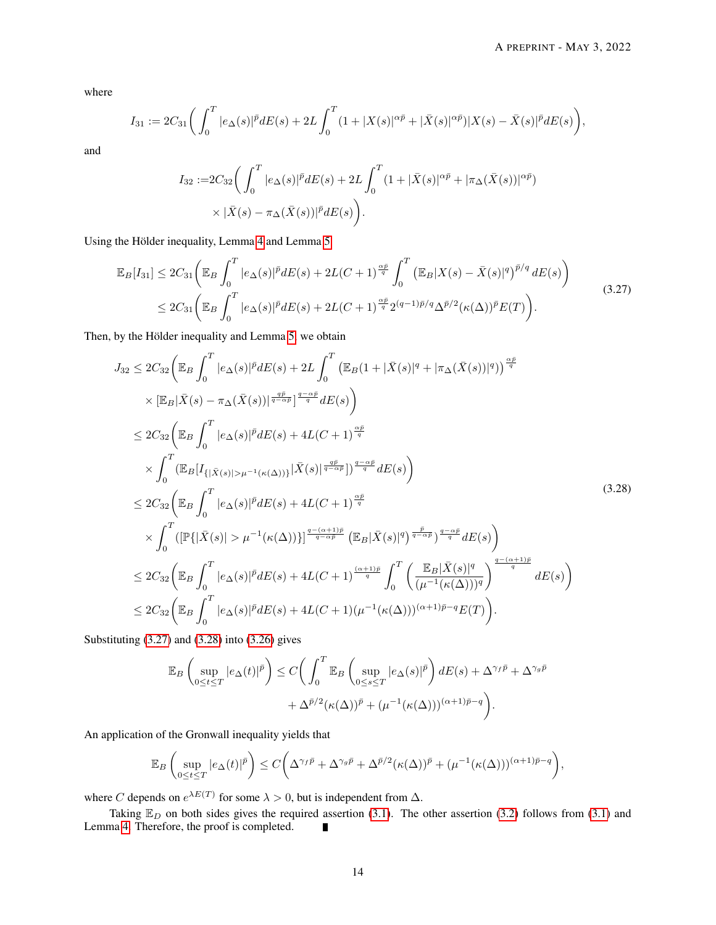where

$$
I_{31} := 2C_{31}\bigg(\int_0^T |e_\Delta(s)|^{\bar p} dE(s) + 2L\int_0^T (1+|X(s)|^{\alpha \bar p} + |\bar X(s)|^{\alpha \bar p})|X(s) - \bar X(s)|^{\bar p} dE(s)\bigg),
$$

and

<span id="page-13-0"></span>
$$
I_{32} := 2C_{32} \bigg( \int_0^T |e_\Delta(s)|^{\bar{p}} dE(s) + 2L \int_0^T (1 + |\bar{X}(s)|^{\alpha \bar{p}} + |\pi_\Delta(\bar{X}(s))|^{\alpha \bar{p}}) \times |\bar{X}(s) - \pi_\Delta(\bar{X}(s))|^{\bar{p}} dE(s) \bigg).
$$

Using the Hölder inequality, Lemma [4](#page-6-3) and Lemma [5](#page-7-4)

$$
\mathbb{E}_{B}[I_{31}] \leq 2C_{31} \left( \mathbb{E}_{B} \int_{0}^{T} |e_{\Delta}(s)|^{\bar{p}} dE(s) + 2L(C+1)^{\frac{\alpha \bar{p}}{q}} \int_{0}^{T} \left( \mathbb{E}_{B} |X(s) - \bar{X}(s)|^{q} \right)^{\bar{p}/q} dE(s) \right) \tag{3.27}
$$
  

$$
\leq 2C_{31} \left( \mathbb{E}_{B} \int_{0}^{T} |e_{\Delta}(s)|^{\bar{p}} dE(s) + 2L(C+1)^{\frac{\alpha \bar{p}}{q}} 2^{(q-1)\bar{p}/q} \Delta^{\bar{p}/2} (\kappa(\Delta))^{\bar{p}} E(T) \right).
$$

Then, by the Hölder inequality and Lemma [5,](#page-7-4) we obtain

<span id="page-13-1"></span>
$$
J_{32} \leq 2C_{32} \left( \mathbb{E}_{B} \int_{0}^{T} |e_{\Delta}(s)|^{\bar{p}} dE(s) + 2L \int_{0}^{T} \left( \mathbb{E}_{B} (1 + |\bar{X}(s)|^{q} + |\pi_{\Delta}(\bar{X}(s))|^{q} \right) \right) \frac{\alpha \bar{p}}{q}
$$
  
\n
$$
\times |\mathbb{E}_{B} |\bar{X}(s) - \pi_{\Delta}(\bar{X}(s))|^{\frac{q\bar{p}}{q-\alpha\bar{p}}}|^{\frac{q-\alpha\bar{p}}{q}} dE(s)
$$
  
\n
$$
\leq 2C_{32} \left( \mathbb{E}_{B} \int_{0}^{T} |e_{\Delta}(s)|^{\bar{p}} dE(s) + 4L(C+1)^{\frac{\alpha\bar{p}}{q}}
$$
  
\n
$$
\times \int_{0}^{T} (\mathbb{E}_{B} [I_{\{|\bar{X}(s)|>\mu^{-1}(\kappa(\Delta))\}} |\bar{X}(s)|^{\frac{q\bar{p}}{q-\alpha\bar{p}}}]^{\frac{q-\alpha\bar{p}}{q}} dE(s) \right)
$$
  
\n
$$
\leq 2C_{32} \left( \mathbb{E}_{B} \int_{0}^{T} |e_{\Delta}(s)|^{\bar{p}} dE(s) + 4L(C+1)^{\frac{\alpha\bar{p}}{q}}
$$
  
\n
$$
\times \int_{0}^{T} ([\mathbb{P}\{|\bar{X}(s)| > \mu^{-1}(\kappa(\Delta))\}]^{\frac{q-(\alpha+1)\bar{p}}{q-\alpha\bar{p}}} (\mathbb{E}_{B} |\bar{X}(s)|^{q})^{\frac{\bar{p}}{q-\alpha\bar{p}}}\frac{q-\alpha\bar{p}}{q} dE(s) \right)
$$
  
\n
$$
\leq 2C_{32} \left( \mathbb{E}_{B} \int_{0}^{T} |e_{\Delta}(s)|^{\bar{p}} dE(s) + 4L(C+1)^{\frac{(\alpha+1)\bar{p}}{q}} \int_{0}^{T} \left( \frac{\mathbb{E}_{B} |\bar{X}(s)|^{q}}{(\mu^{-1}(\kappa(\Delta)))^{q}} \right)^{\frac{q-(\alpha+1)\bar{p}}{q}} dE(s) \right)
$$
  
\n
$$
\leq 2
$$

Substituting [\(3.27\)](#page-13-0) and [\(3.28\)](#page-13-1) into [\(3.26\)](#page-12-3) gives

$$
\mathbb{E}_B \left( \sup_{0 \le t \le T} |e_\Delta(t)|^{\bar{p}} \right) \le C \bigg( \int_0^T \mathbb{E}_B \left( \sup_{0 \le s \le T} |e_\Delta(s)|^{\bar{p}} \right) dE(s) + \Delta^{\gamma_f \bar{p}} + \Delta^{\gamma_g \bar{p}} + \Delta^{\gamma_g \bar{p}} + \Delta^{\bar{p}/2} (\kappa(\Delta))^{\bar{p}} + (\mu^{-1}(\kappa(\Delta)))^{(\alpha+1)\bar{p}-q} \bigg).
$$

An application of the Gronwall inequality yields that

$$
\mathbb{E}_B\left(\sup_{0\leq t\leq T}|e_{\Delta}(t)|^{\bar{p}}\right)\leq C\bigg(\Delta^{\gamma_f\bar{p}}+\Delta^{\gamma_g\bar{p}}+\Delta^{\bar{p}/2}(\kappa(\Delta))^{\bar{p}}+(\mu^{-1}(\kappa(\Delta)))^{(\alpha+1)\bar{p}-q}\bigg),
$$

where C depends on  $e^{\lambda E(T)}$  for some  $\lambda > 0$ , but is independent from  $\Delta$ .

Taking  $\mathbb{E}_D$  on both sides gives the required assertion [\(3.1\)](#page-4-5). The other assertion [\(3.2\)](#page-4-6) follows from (3.1) and <br>ma 4. Therefore, the proof is completed. Lemma [4.](#page-6-3) Therefore, the proof is completed.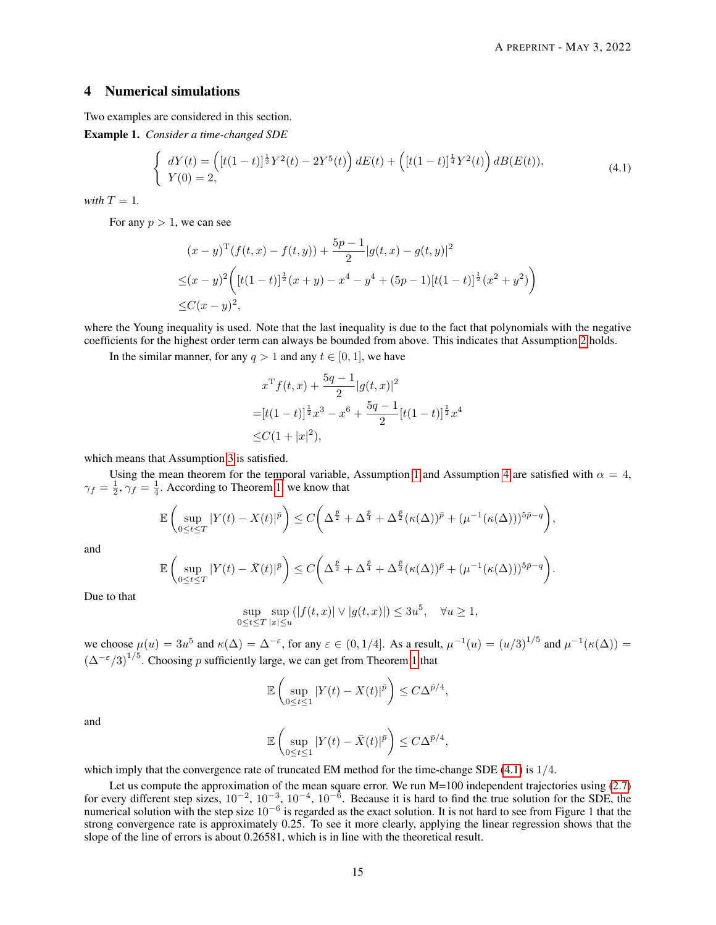# 4 Numerical simulations

Two examples are considered in this section.

<span id="page-14-1"></span>Example 1. *Consider a time-changed SDE*

<span id="page-14-0"></span>
$$
\begin{cases}\n dY(t) = \left( [t(1-t)]^{\frac{1}{2}} Y^2(t) - 2Y^5(t) \right) dE(t) + \left( [t(1-t)]^{\frac{1}{4}} Y^2(t) \right) dB(E(t)), \\
 Y(0) = 2,\n\end{cases} \tag{4.1}
$$

*with*  $T = 1$ *.* 

For any  $p > 1$ , we can see

$$
(x - y)^{T} (f(t, x) - f(t, y)) + \frac{5p - 1}{2} |g(t, x) - g(t, y)|^{2}
$$
  
\n
$$
\leq (x - y)^{2} \left( [t(1 - t)]^{\frac{1}{2}} (x + y) - x^{4} - y^{4} + (5p - 1)[t(1 - t)]^{\frac{1}{2}} (x^{2} + y^{2}) \right)
$$
  
\n
$$
\leq C(x - y)^{2},
$$

where the Young inequality is used. Note that the last inequality is due to the fact that polynomials with the negative coefficients for the highest order term can always be bounded from above. This indicates that Assumption [2](#page-2-2) holds.

In the similar manner, for any  $q > 1$  and any  $t \in [0, 1]$ , we have

$$
x^{T} f(t, x) + \frac{5q - 1}{2} |g(t, x)|^{2}
$$
  
=  $[t(1-t)]^{\frac{1}{2}} x^{3} - x^{6} + \frac{5q - 1}{2} [t(1-t)]^{\frac{1}{2}} x^{4}$   
 $\leq C(1 + |x|^{2}),$ 

which means that Assumption [3](#page-2-3) is satisfied.

Using the mean theorem for the temporal variable, Assumption [1](#page-2-1) and Assumption [4](#page-2-4) are satisfied with  $\alpha = 4$ ,  $\gamma_f = \frac{1}{2}, \gamma_f = \frac{1}{4}$ . According to Theorem [1,](#page-4-1) we know that

$$
\mathbb{E}\left(\sup_{0\leq t\leq T}|Y(t)-X(t)|^{\bar{p}}\right)\leq C\bigg(\Delta^{\frac{\bar{p}}{2}}+\Delta^{\frac{\bar{p}}{4}}+\Delta^{\frac{\bar{p}}{2}}(\kappa(\Delta))^{\bar{p}}+(\mu^{-1}(\kappa(\Delta)))^{5\bar{p}-q}\bigg),
$$

and

$$
\mathbb{E}\left(\sup_{0\leq t\leq T}|Y(t)-\bar{X}(t)|^{\bar{p}}\right)\leq C\bigg(\Delta^{\frac{\bar{p}}{2}}+\Delta^{\frac{\bar{p}}{4}}+\Delta^{\frac{\bar{p}}{2}}(\kappa(\Delta))^{\bar{p}}+(\mu^{-1}(\kappa(\Delta)))^{5\bar{p}-q}\bigg).
$$

Due to that

$$
\sup_{0\leq t\leq T}\sup_{|x|\leq u}(|f(t,x)|\vee |g(t,x)|)\leq 3u^5,\quad \forall u\geq 1,
$$

we choose  $\mu(u) = 3u^5$  and  $\kappa(\Delta) = \Delta^{-\varepsilon}$ , for any  $\varepsilon \in (0, 1/4]$ . As a result,  $\mu^{-1}(u) = (u/3)^{1/5}$  and  $\mu^{-1}(\kappa(\Delta)) =$  $(\Delta^{-\epsilon}/3)^{1/5}$ . Choosing p sufficiently large, we can get from Theorem [1](#page-4-4) that

$$
\mathbb{E}\left(\sup_{0\leq t\leq 1}|Y(t)-X(t)|^{\bar{p}}\right)\leq C\Delta^{\bar{p}/4},
$$

and

$$
\mathbb{E}\left(\sup_{0\leq t\leq 1}|Y(t)-\bar{X}(t)|^{\bar{p}}\right)\leq C\Delta^{\bar{p}/4},
$$

which imply that the convergence rate of truncated EM method for the time-change SDE [\(4.1\)](#page-14-0) is  $1/4$ .

Let us compute the approximation of the mean square error. We run M=100 independent trajectories using [\(2.7\)](#page-3-4) for every different step sizes,  $10^{-2}$ ,  $10^{-3}$ ,  $10^{-4}$ ,  $10^{-6}$ . Because it is hard to find the true solution for the SDE, the numerical solution with the step size  $10^{-6}$  is regarded as the exact solution. It is not hard to see from Figure 1 that the strong convergence rate is approximately 0.25. To see it more clearly, applying the linear regression shows that the slope of the line of errors is about 0.26581, which is in line with the theoretical result.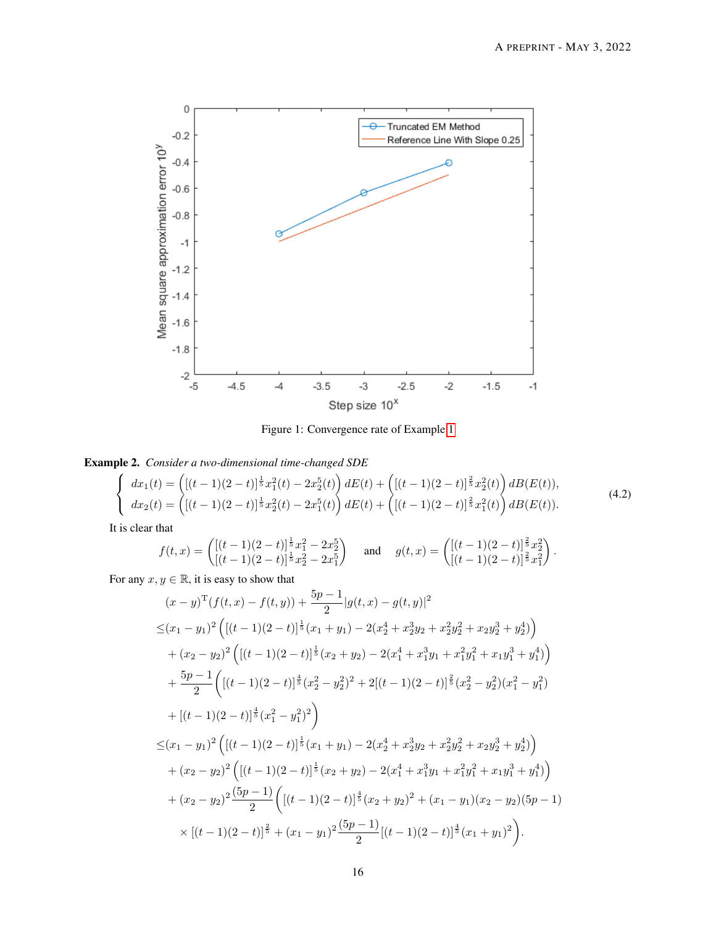

<span id="page-15-0"></span>Figure 1: Convergence rate of Example [1](#page-14-1)

<span id="page-15-1"></span>Example 2. *Consider a two-dimensional time-changed SDE*

$$
\begin{cases}\n dx_1(t) = \left( [(t-1)(2-t)]^{\frac{1}{5}} x_1^2(t) - 2x_2^5(t) \right) dE(t) + \left( [(t-1)(2-t)]^{\frac{2}{5}} x_2^2(t) \right) dE(t) \\
 dx_2(t) = \left( [(t-1)(2-t)]^{\frac{1}{5}} x_2^2(t) - 2x_1^5(t) \right) dE(t) + \left( [(t-1)(2-t)]^{\frac{2}{5}} x_1^2(t) \right) dE(t).\n\end{cases} (4.2)
$$

It is clear that

$$
f(t,x) = \begin{pmatrix} [(t-1)(2-t)]^{\frac{1}{5}}x_1^2 - 2x_2^5\\ [(t-1)(2-t)]^{\frac{1}{5}}x_2^2 - 2x_1^5 \end{pmatrix} \text{ and } g(t,x) = \begin{pmatrix} [(t-1)(2-t)]^{\frac{2}{5}}x_2^2\\ [(t-1)(2-t)]^{\frac{2}{5}}x_1^2 \end{pmatrix}.
$$

For any  $x, y \in \mathbb{R}$ , it is easy to show that

$$
(x - y)^{\mathrm{T}}(f(t, x) - f(t, y)) + \frac{5p - 1}{2}|g(t, x) - g(t, y)|^{2}
$$
  
\n
$$
\leq (x_{1} - y_{1})^{2} \left( [(t - 1)(2 - t)]^{\frac{1}{5}}(x_{1} + y_{1}) - 2(x_{2}^{4} + x_{2}^{3}y_{2} + x_{2}^{2}y_{2}^{2} + x_{2}y_{2}^{3} + y_{2}^{4}) \right)
$$
  
\n
$$
+ (x_{2} - y_{2})^{2} \left( [(t - 1)(2 - t)]^{\frac{1}{5}}(x_{2} + y_{2}) - 2(x_{1}^{4} + x_{1}^{3}y_{1} + x_{1}^{2}y_{1}^{2} + x_{1}y_{1}^{3} + y_{1}^{4}) \right)
$$
  
\n
$$
+ \frac{5p - 1}{2} \left( [(t - 1)(2 - t)]^{\frac{4}{5}}(x_{2}^{2} - y_{2}^{2})^{2} + 2[(t - 1)(2 - t)]^{\frac{2}{5}}(x_{2}^{2} - y_{2}^{2})(x_{1}^{2} - y_{1}^{2}) + [(t - 1)(2 - t)]^{\frac{4}{5}}(x_{1}^{2} - y_{1}^{2})^{2} \right)
$$
  
\n
$$
\leq (x_{1} - y_{1})^{2} \left( [(t - 1)(2 - t)]^{\frac{1}{5}}(x_{1} + y_{1}) - 2(x_{2}^{4} + x_{2}^{3}y_{2} + x_{2}^{2}y_{2}^{2} + x_{2}y_{2}^{3} + y_{2}^{4}) \right)
$$
  
\n
$$
+ (x_{2} - y_{2})^{2} \left( [(t - 1)(2 - t)]^{\frac{1}{5}}(x_{2} + y_{2}) - 2(x_{1}^{4} + x_{1}^{3}y_{1} + x_{1}^{2}y_{1}^{2} + x_{1}y_{1}^{3} + y_{1}^{4}) \right)
$$
  
\n
$$
+ (x_{2} - y_{2})^{2} \frac{(5p - 1)}{2} \left( [(t - 1)(2 - t)]^{\frac{4}{5}}(x_{2} + y_{2})^{2} + (x_{1} - y_{1})(x_{2} - y_{2})(
$$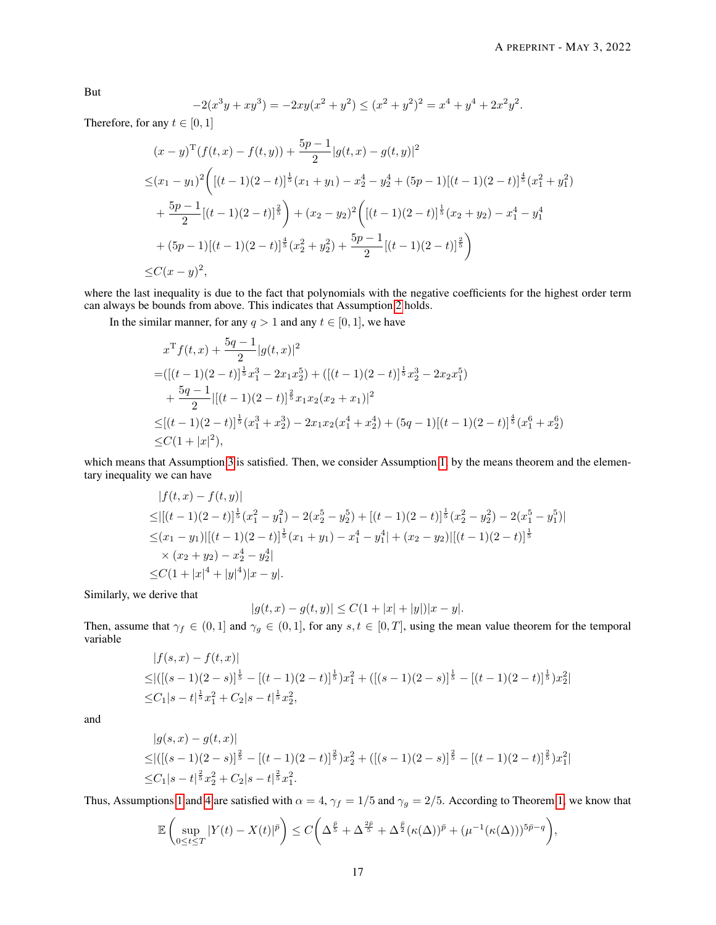But

$$
-2(x3y + xy3) = -2xy(x2 + y2) \le (x2 + y2)2 = x4 + y4 + 2x2y2.
$$

Therefore, for any  $t \in [0, 1]$ 

$$
(x - y)^{\mathrm{T}}(f(t, x) - f(t, y)) + \frac{5p - 1}{2}|g(t, x) - g(t, y)|^{2}
$$
  
\n
$$
\leq (x_{1} - y_{1})^{2} \Big( [(t - 1)(2 - t)]^{\frac{1}{5}}(x_{1} + y_{1}) - x_{2}^{4} - y_{2}^{4} + (5p - 1)[(t - 1)(2 - t)]^{\frac{4}{5}}(x_{1}^{2} + y_{1}^{2})
$$
  
\n
$$
+ \frac{5p - 1}{2}[(t - 1)(2 - t)]^{\frac{2}{5}} \Big) + (x_{2} - y_{2})^{2} \Big( [(t - 1)(2 - t)]^{\frac{1}{5}}(x_{2} + y_{2}) - x_{1}^{4} - y_{1}^{4}
$$
  
\n
$$
+ (5p - 1)[(t - 1)(2 - t)]^{\frac{4}{5}}(x_{2}^{2} + y_{2}^{2}) + \frac{5p - 1}{2}[(t - 1)(2 - t)]^{\frac{2}{5}} \Big)
$$
  
\n
$$
\leq C(x - y)^{2},
$$

where the last inequality is due to the fact that polynomials with the negative coefficients for the highest order term can always be bounds from above. This indicates that Assumption [2](#page-2-2) holds.

In the similar manner, for any  $q > 1$  and any  $t \in [0, 1]$ , we have

$$
x^{\mathrm{T}}f(t,x) + \frac{5q-1}{2}|g(t,x)|^2
$$
  
=  $([(t-1)(2-t)]^{\frac{1}{5}}x_1^3 - 2x_1x_2^5) + ([(t-1)(2-t)]^{\frac{1}{5}}x_2^3 - 2x_2x_1^5)$   
+  $\frac{5q-1}{2}|[(t-1)(2-t)]^{\frac{2}{5}}x_1x_2(x_2+x_1)|^2$   
 $\leq [(t-1)(2-t)]^{\frac{1}{5}}(x_1^3 + x_2^3) - 2x_1x_2(x_1^4 + x_2^4) + (5q-1)[(t-1)(2-t)]^{\frac{4}{5}}(x_1^6 + x_2^6)$   
 $\leq C(1+|x|^2),$ 

which means that Assumption [3](#page-2-3) is satisfied. Then, we consider Assumption [1,](#page-2-1) by the means theorem and the elementary inequality we can have

$$
|f(t, x) - f(t, y)|
$$
  
\n
$$
\leq |[(t - 1)(2 - t)]^{\frac{1}{5}}(x_1^2 - y_1^2) - 2(x_2^5 - y_2^5) + [(t - 1)(2 - t)]^{\frac{1}{5}}(x_2^2 - y_2^2) - 2(x_1^5 - y_1^5)|
$$
  
\n
$$
\leq (x_1 - y_1)|[(t - 1)(2 - t)]^{\frac{1}{5}}(x_1 + y_1) - x_1^4 - y_1^4| + (x_2 - y_2)|[(t - 1)(2 - t)]^{\frac{1}{5}}
$$
  
\n
$$
\times (x_2 + y_2) - x_2^4 - y_2^4|
$$
  
\n
$$
\leq C(1 + |x|^4 + |y|^4)|x - y|.
$$

Similarly, we derive that

$$
|g(t, x) - g(t, y)| \le C(1 + |x| + |y|)|x - y|.
$$

Then, assume that  $\gamma_f \in (0,1]$  and  $\gamma_g \in (0,1]$ , for any  $s, t \in [0,T]$ , using the mean value theorem for the temporal variable  $|f(z, \pi)| = f(t, \pi)|$ 

$$
|f(s,x) - f(t,x)|
$$
  
\n
$$
\leq |([(s-1)(2-s)]^{\frac{1}{5}} - [(t-1)(2-t)]^{\frac{1}{5}})x_1^2 + ([(s-1)(2-s)]^{\frac{1}{5}} - [(t-1)(2-t)]^{\frac{1}{5}})x_2^2|
$$
  
\n
$$
\leq C_1|s-t|^{\frac{1}{5}}x_1^2 + C_2|s-t|^{\frac{1}{5}}x_2^2,
$$

and

$$
|g(s,x) - g(t,x)|
$$
  
\n
$$
\leq |([(s-1)(2-s)]^{\frac{2}{5}} - [(t-1)(2-t)]^{\frac{2}{5}})x_2^2 + ([(s-1)(2-s)]^{\frac{2}{5}} - [(t-1)(2-t)]^{\frac{2}{5}})x_1^2|
$$
  
\n
$$
\leq C_1|s-t|^{\frac{2}{5}}x_2^2 + C_2|s-t|^{\frac{2}{5}}x_1^2.
$$

Thus, Assumptions [1](#page-2-1) and [4](#page-2-4) are satisfied with  $\alpha = 4$ ,  $\gamma_f = 1/5$  and  $\gamma_g = 2/5$ . According to Theorem [1,](#page-4-1) we know that

$$
\mathbb{E}\left(\sup_{0\leq t\leq T}|Y(t)-X(t)|^{\bar{p}}\right)\leq C\bigg(\Delta^{\frac{\bar{p}}{5}}+\Delta^{\frac{2\bar{p}}{5}}+\Delta^{\frac{\bar{p}}{2}}(\kappa(\Delta))^{\bar{p}}+(\mu^{-1}(\kappa(\Delta)))^{5\bar{p}-q}\bigg),
$$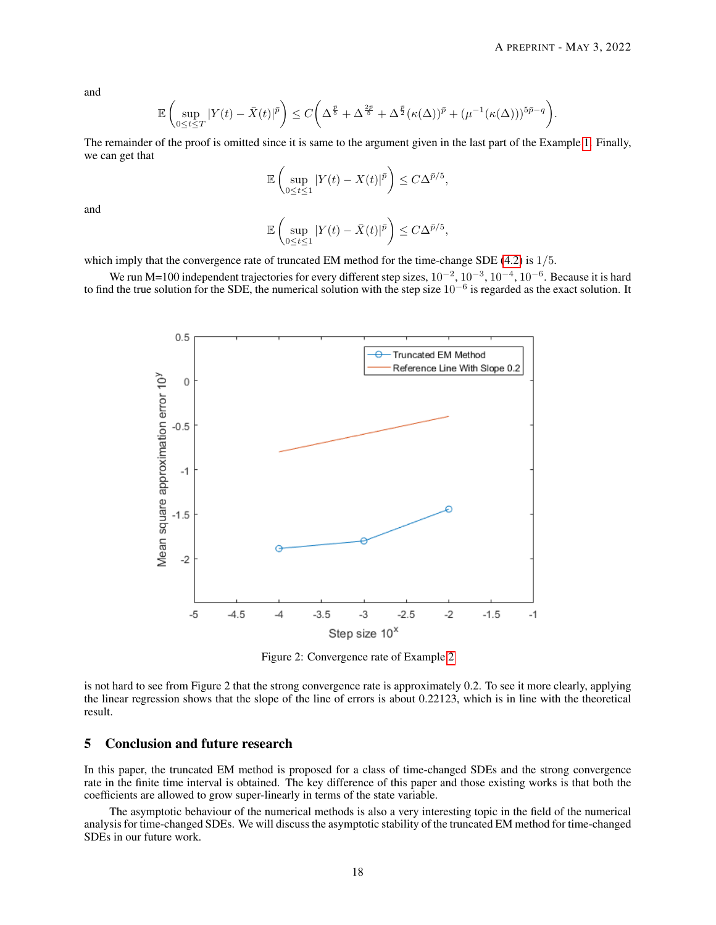and

$$
\mathbb{E}\left(\sup_{0\leq t\leq T}|Y(t)-\bar{X}(t)|^{\bar{p}}\right)\leq C\bigg(\Delta^{\frac{\bar{p}}{5}}+\Delta^{\frac{2\bar{p}}{5}}+\Delta^{\frac{\bar{p}}{2}}(\kappa(\Delta))^{\bar{p}}+(\mu^{-1}(\kappa(\Delta)))^{5\bar{p}-q}\bigg).
$$

The remainder of the proof is omitted since it is same to the argument given in the last part of the Example [1.](#page-14-1) Finally, we can get that

$$
\mathbb{E}\left(\sup_{0\leq t\leq 1}|Y(t)-X(t)|^{\bar{p}}\right)\leq C\Delta^{\bar{p}/5},
$$

and

$$
\mathbb{E}\left(\sup_{0\leq t\leq 1}|Y(t)-\bar{X}(t)|^{\bar{p}}\right)\leq C\Delta^{\bar{p}/5},
$$

which imply that the convergence rate of truncated EM method for the time-change SDE [\(4.2\)](#page-15-0) is  $1/5$ .

We run M=100 independent trajectories for every different step sizes,  $10^{-2}$ ,  $10^{-3}$ ,  $10^{-4}$ ,  $10^{-6}$ . Because it is hard to find the true solution for the SDE, the numerical solution with the step size  $10^{-6}$  is regarded as the exact solution. It



Figure 2: Convergence rate of Example [2](#page-15-1)

is not hard to see from Figure 2 that the strong convergence rate is approximately 0.2. To see it more clearly, applying the linear regression shows that the slope of the line of errors is about 0.22123, which is in line with the theoretical result.

## 5 Conclusion and future research

In this paper, the truncated EM method is proposed for a class of time-changed SDEs and the strong convergence rate in the finite time interval is obtained. The key difference of this paper and those existing works is that both the coefficients are allowed to grow super-linearly in terms of the state variable.

The asymptotic behaviour of the numerical methods is also a very interesting topic in the field of the numerical analysis for time-changed SDEs. We will discuss the asymptotic stability of the truncated EM method for time-changed SDEs in our future work.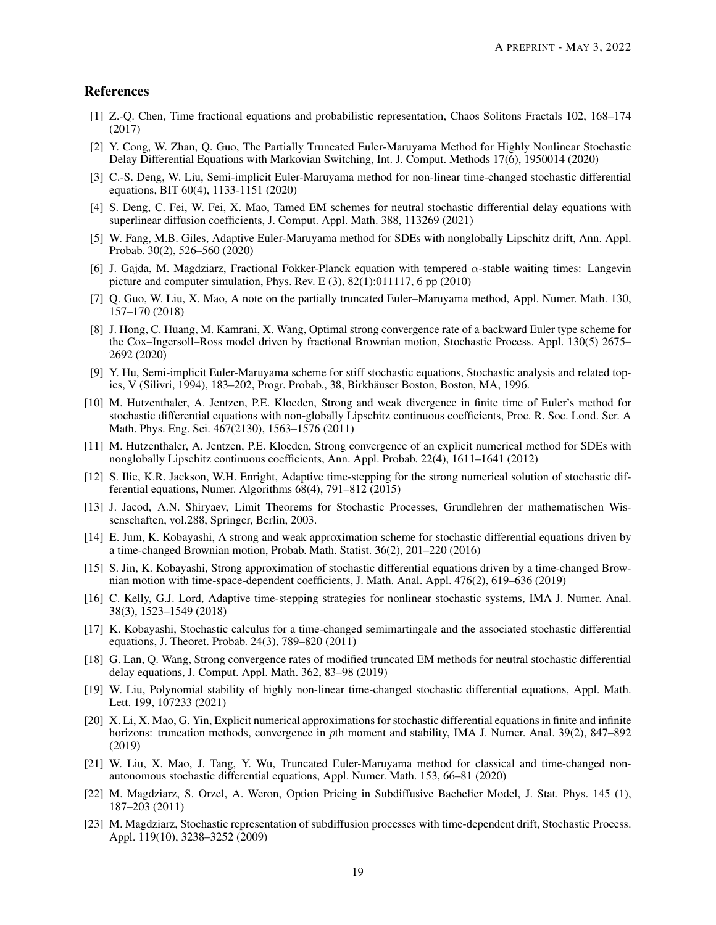# References

- <span id="page-18-0"></span>[1] Z.-Q. Chen, Time fractional equations and probabilistic representation, Chaos Solitons Fractals 102, 168–174 (2017)
- <span id="page-18-13"></span>[2] Y. Cong, W. Zhan, Q. Guo, The Partially Truncated Euler-Maruyama Method for Highly Nonlinear Stochastic Delay Differential Equations with Markovian Switching, Int. J. Comput. Methods 17(6), 1950014 (2020)
- <span id="page-18-5"></span>[3] C.-S. Deng, W. Liu, Semi-implicit Euler-Maruyama method for non-linear time-changed stochastic differential equations, BIT 60(4), 1133-1151 (2020)
- <span id="page-18-11"></span>[4] S. Deng, C. Fei, W. Fei, X. Mao, Tamed EM schemes for neutral stochastic differential delay equations with superlinear diffusion coefficients, J. Comput. Appl. Math. 388, 113269 (2021)
- <span id="page-18-16"></span>[5] W. Fang, M.B. Giles, Adaptive Euler-Maruyama method for SDEs with nonglobally Lipschitz drift, Ann. Appl. Probab. 30(2), 526–560 (2020)
- <span id="page-18-19"></span>[6] J. Gajda, M. Magdziarz, Fractional Fokker-Planck equation with tempered α-stable waiting times: Langevin picture and computer simulation, Phys. Rev. E (3), 82(1):011117, 6 pp (2010)
- <span id="page-18-20"></span>[7] Q. Guo, W. Liu, X. Mao, A note on the partially truncated Euler–Maruyama method, Appl. Numer. Math. 130, 157–170 (2018)
- <span id="page-18-9"></span>[8] J. Hong, C. Huang, M. Kamrani, X. Wang, Optimal strong convergence rate of a backward Euler type scheme for the Cox–Ingersoll–Ross model driven by fractional Brownian motion, Stochastic Process. Appl. 130(5) 2675– 2692 (2020)
- <span id="page-18-10"></span>[9] Y. Hu, Semi-implicit Euler-Maruyama scheme for stiff stochastic equations, Stochastic analysis and related topics, V (Silivri, 1994), 183–202, Progr. Probab., 38, Birkhauser Boston, Boston, MA, 1996. ¨
- <span id="page-18-8"></span>[10] M. Hutzenthaler, A. Jentzen, P.E. Kloeden, Strong and weak divergence in finite time of Euler's method for stochastic differential equations with non-globally Lipschitz continuous coefficients, Proc. R. Soc. Lond. Ser. A Math. Phys. Eng. Sci. 467(2130), 1563–1576 (2011)
- <span id="page-18-12"></span>[11] M. Hutzenthaler, A. Jentzen, P.E. Kloeden, Strong convergence of an explicit numerical method for SDEs with nonglobally Lipschitz continuous coefficients, Ann. Appl. Probab. 22(4), 1611–1641 (2012)
- <span id="page-18-17"></span>[12] S. Ilie, K.R. Jackson, W.H. Enright, Adaptive time-stepping for the strong numerical solution of stochastic differential equations, Numer. Algorithms 68(4), 791–812 (2015)
- <span id="page-18-21"></span>[13] J. Jacod, A.N. Shiryaev, Limit Theorems for Stochastic Processes, Grundlehren der mathematischen Wissenschaften, vol.288, Springer, Berlin, 2003.
- <span id="page-18-4"></span>[14] E. Jum, K. Kobayashi, A strong and weak approximation scheme for stochastic differential equations driven by a time-changed Brownian motion, Probab. Math. Statist. 36(2), 201–220 (2016)
- <span id="page-18-7"></span>[15] S. Jin, K. Kobayashi, Strong approximation of stochastic differential equations driven by a time-changed Brownian motion with time-space-dependent coefficients, J. Math. Anal. Appl. 476(2), 619–636 (2019)
- <span id="page-18-18"></span>[16] C. Kelly, G.J. Lord, Adaptive time-stepping strategies for nonlinear stochastic systems, IMA J. Numer. Anal. 38(3), 1523–1549 (2018)
- <span id="page-18-1"></span>[17] K. Kobayashi, Stochastic calculus for a time-changed semimartingale and the associated stochastic differential equations, J. Theoret. Probab. 24(3), 789–820 (2011)
- <span id="page-18-14"></span>[18] G. Lan, Q. Wang, Strong convergence rates of modified truncated EM methods for neutral stochastic differential delay equations, J. Comput. Appl. Math. 362, 83–98 (2019)
- <span id="page-18-2"></span>[19] W. Liu, Polynomial stability of highly non-linear time-changed stochastic differential equations, Appl. Math. Lett. 199, 107233 (2021)
- <span id="page-18-15"></span>[20] X. Li, X. Mao, G. Yin, Explicit numerical approximations for stochastic differential equations in finite and infinite horizons: truncation methods, convergence in pth moment and stability, IMA J. Numer. Anal. 39(2), 847–892 (2019)
- <span id="page-18-6"></span>[21] W. Liu, X. Mao, J. Tang, Y. Wu, Truncated Euler-Maruyama method for classical and time-changed nonautonomous stochastic differential equations, Appl. Numer. Math. 153, 66–81 (2020)
- <span id="page-18-22"></span>[22] M. Magdziarz, S. Orzel, A. Weron, Option Pricing in Subdiffusive Bachelier Model, J. Stat. Phys. 145 (1), 187–203 (2011)
- <span id="page-18-3"></span>[23] M. Magdziarz, Stochastic representation of subdiffusion processes with time-dependent drift, Stochastic Process. Appl. 119(10), 3238–3252 (2009)